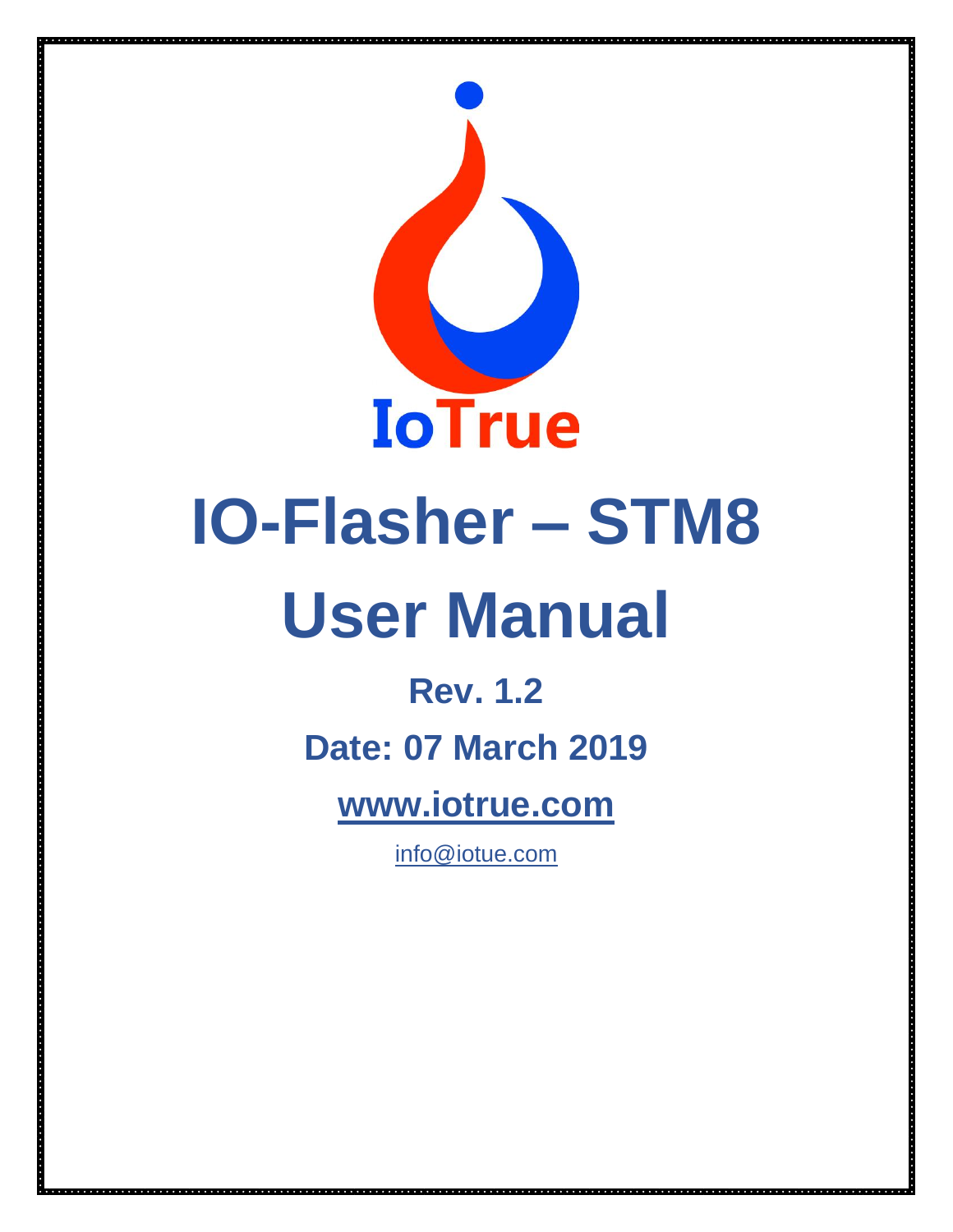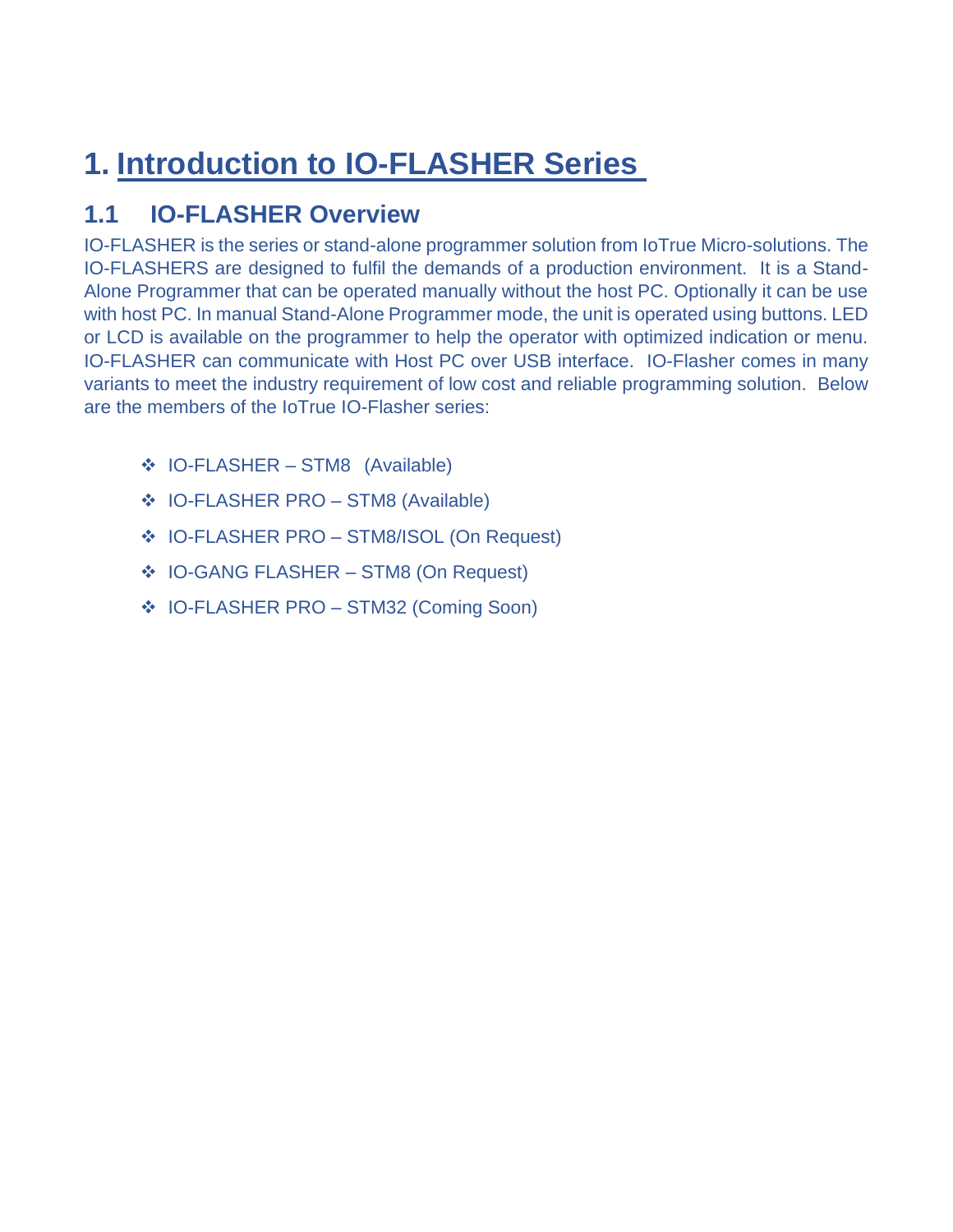# **1. Introduction to IO-FLASHER Series**

# **1.1 IO-FLASHER Overview**

IO-FLASHER is the series or stand-alone programmer solution from IoTrue Micro-solutions. The IO-FLASHERS are designed to fulfil the demands of a production environment. It is a Stand-Alone Programmer that can be operated manually without the host PC. Optionally it can be use with host PC. In manual Stand-Alone Programmer mode, the unit is operated using buttons. LED or LCD is available on the programmer to help the operator with optimized indication or menu. IO-FLASHER can communicate with Host PC over USB interface. IO-Flasher comes in many variants to meet the industry requirement of low cost and reliable programming solution. Below are the members of the IoTrue IO-Flasher series:

- ❖ IO-FLASHER STM8 (Available)
- ❖ IO-FLASHER PRO STM8 (Available)
- ❖ IO-FLASHER PRO STM8/ISOL (On Request)
- ❖ IO-GANG FLASHER STM8 (On Request)
- ❖ IO-FLASHER PRO STM32 (Coming Soon)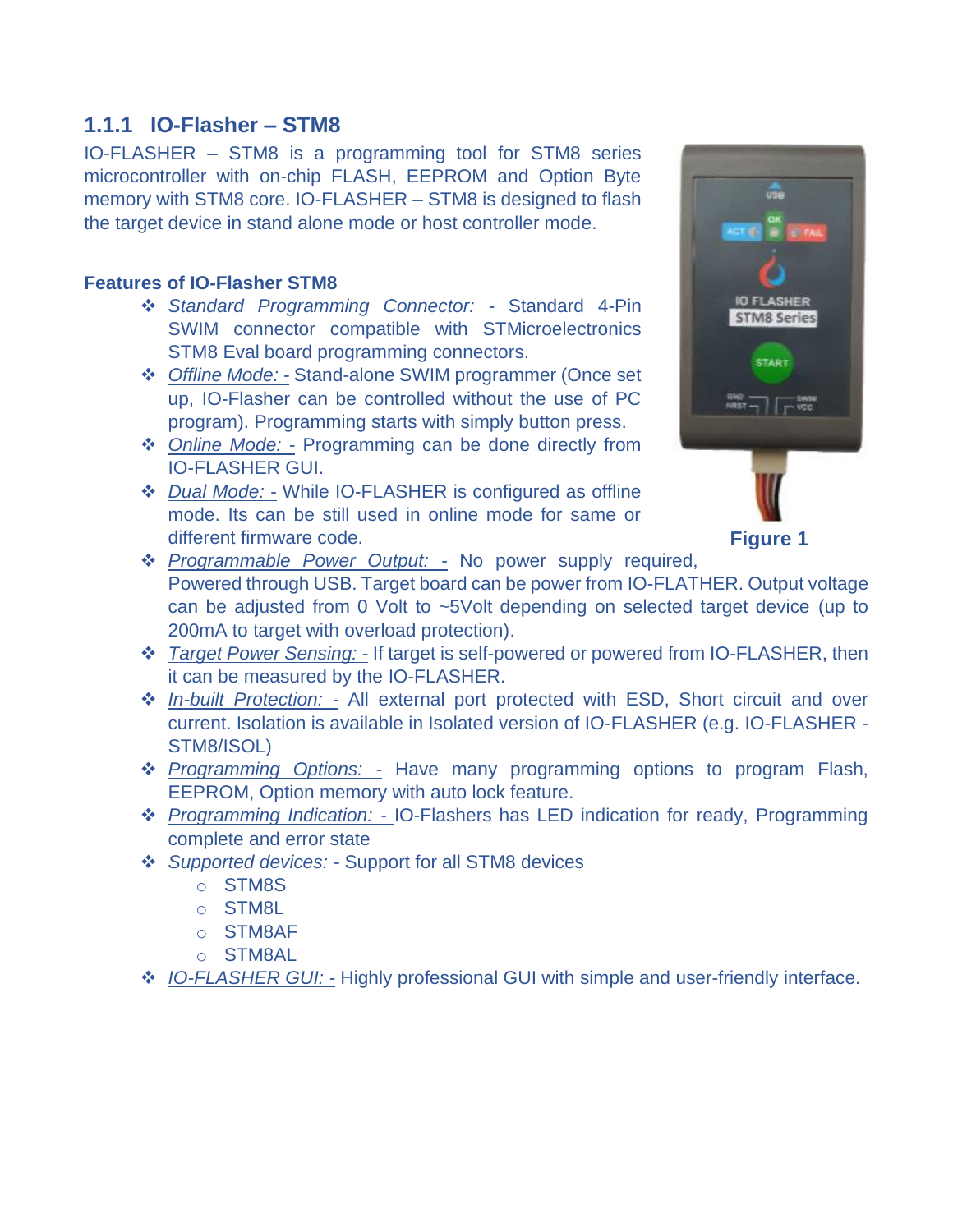### **1.1.1 IO-Flasher – STM8**

IO-FLASHER – STM8 is a programming tool for STM8 series microcontroller with on-chip FLASH, EEPROM and Option Byte memory with STM8 core. IO-FLASHER – STM8 is designed to flash the target device in stand alone mode or host controller mode.

#### **Features of IO-Flasher STM8**

- ❖ *Standard Programming Connector: -* Standard 4-Pin SWIM connector compatible with STMicroelectronics STM8 Eval board programming connectors.
- ❖ *Offline Mode: -* Stand-alone SWIM programmer (Once set up, IO-Flasher can be controlled without the use of PC program). Programming starts with simply button press.
- ❖ *Online Mode:* Programming can be done directly from IO-FLASHER GUI.
- ❖ *Dual Mode:* While IO-FLASHER is configured as offline mode. Its can be still used in online mode for same or different firmware code.



**Figure 1**

- ❖ *Programmable Power Output: -* No power supply required, Powered through USB. Target board can be power from IO-FLATHER. Output voltage can be adjusted from 0 Volt to ~5Volt depending on selected target device (up to 200mA to target with overload protection).
- ❖ *Target Power Sensing: -* If target is self-powered or powered from IO-FLASHER, then it can be measured by the IO-FLASHER.
- ❖ *In-built Protection: -* All external port protected with ESD, Short circuit and over current. Isolation is available in Isolated version of IO-FLASHER (e.g. IO-FLASHER - STM8/ISOL)
- ❖ *Programming Options: -* Have many programming options to program Flash, EEPROM, Option memory with auto lock feature.
- ❖ *Programming Indication: -* IO-Flashers has LED indication for ready, Programming complete and error state
- ❖ *Supported devices: -* Support for all STM8 devices
	- o STM8S
	- o STM8L
	- o STM8AF
	- o STM8AL
- ❖ *IO-FLASHER GUI: -* Highly professional GUI with simple and user-friendly interface.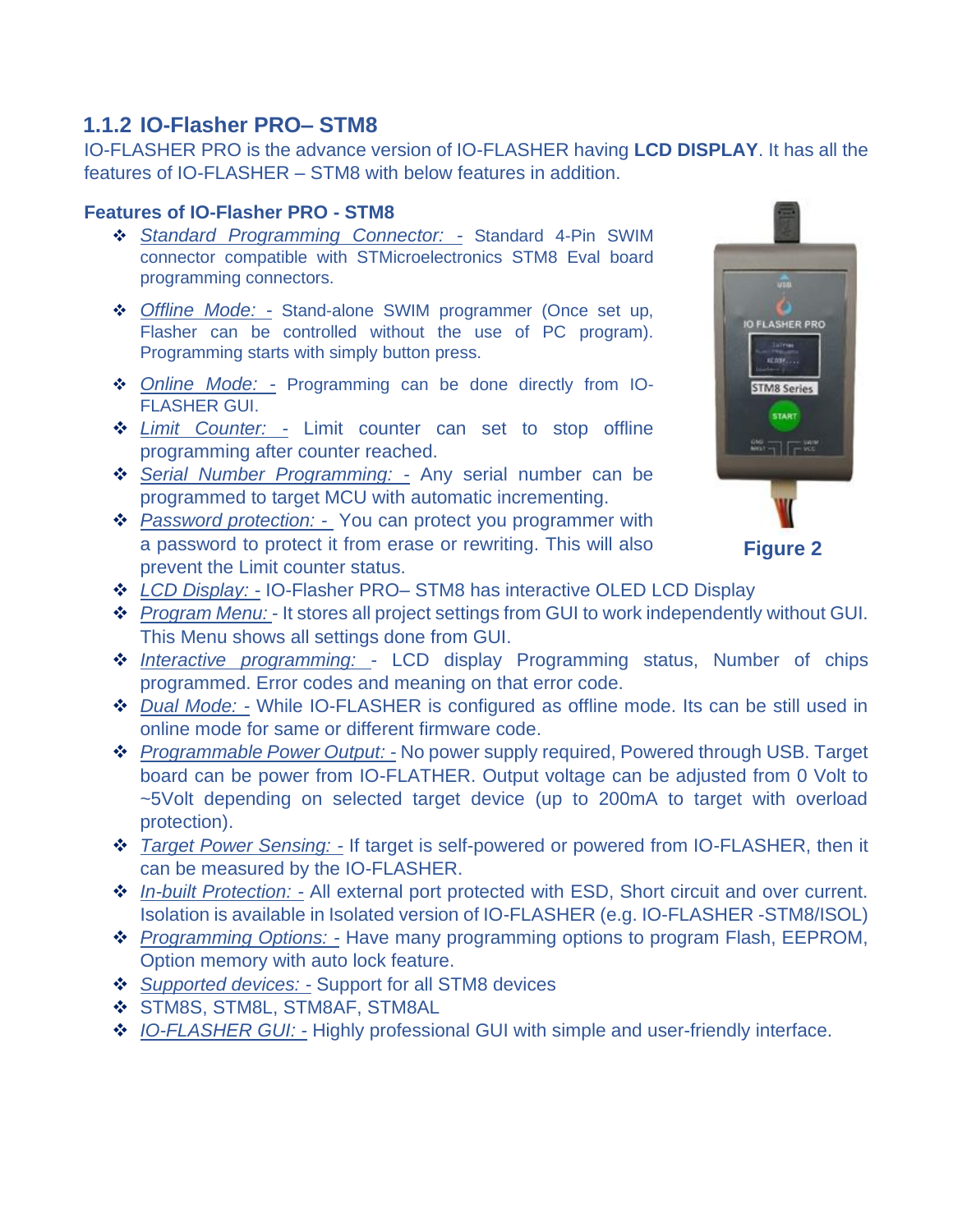# **1.1.2 IO-Flasher PRO– STM8**

IO-FLASHER PRO is the advance version of IO-FLASHER having **LCD DISPLAY**. It has all the features of IO-FLASHER – STM8 with below features in addition.

#### **Features of IO-Flasher PRO - STM8**

- ❖ *Standard Programming Connector: -* Standard 4-Pin SWIM connector compatible with STMicroelectronics STM8 Eval board programming connectors.
- ❖ *Offline Mode: -* Stand-alone SWIM programmer (Once set up, Flasher can be controlled without the use of PC program). Programming starts with simply button press.
- ❖ *Online Mode: -* Programming can be done directly from IO-FLASHER GUI.
- ❖ *Limit Counter: -* Limit counter can set to stop offline programming after counter reached.
- ❖ *Serial Number Programming: -* Any serial number can be programmed to target MCU with automatic incrementing.
- ❖ *Password protection: -* You can protect you programmer with a password to protect it from erase or rewriting. This will also prevent the Limit counter status.



**Figure 2**

- ❖ *LCD Display: -* IO-Flasher PRO– STM8 has interactive OLED LCD Display
- ❖ *Program Menu:*  It stores all project settings from GUI to work independently without GUI. This Menu shows all settings done from GUI.
- ❖ *Interactive programming:*  LCD display Programming status, Number of chips programmed. Error codes and meaning on that error code.
- ❖ *Dual Mode: -* While IO-FLASHER is configured as offline mode. Its can be still used in online mode for same or different firmware code.
- ❖ *Programmable Power Output: -* No power supply required, Powered through USB. Target board can be power from IO-FLATHER. Output voltage can be adjusted from 0 Volt to ~5Volt depending on selected target device (up to 200mA to target with overload protection).
- ❖ *Target Power Sensing: -* If target is self-powered or powered from IO-FLASHER, then it can be measured by the IO-FLASHER.
- ❖ *In-built Protection: -* All external port protected with ESD, Short circuit and over current. Isolation is available in Isolated version of IO-FLASHER (e.g. IO-FLASHER -STM8/ISOL)
- ❖ *Programming Options: -* Have many programming options to program Flash, EEPROM, Option memory with auto lock feature.
- ❖ *Supported devices: -* Support for all STM8 devices
- ❖ STM8S, STM8L, STM8AF, STM8AL
- ❖ *IO-FLASHER GUI: -* Highly professional GUI with simple and user-friendly interface.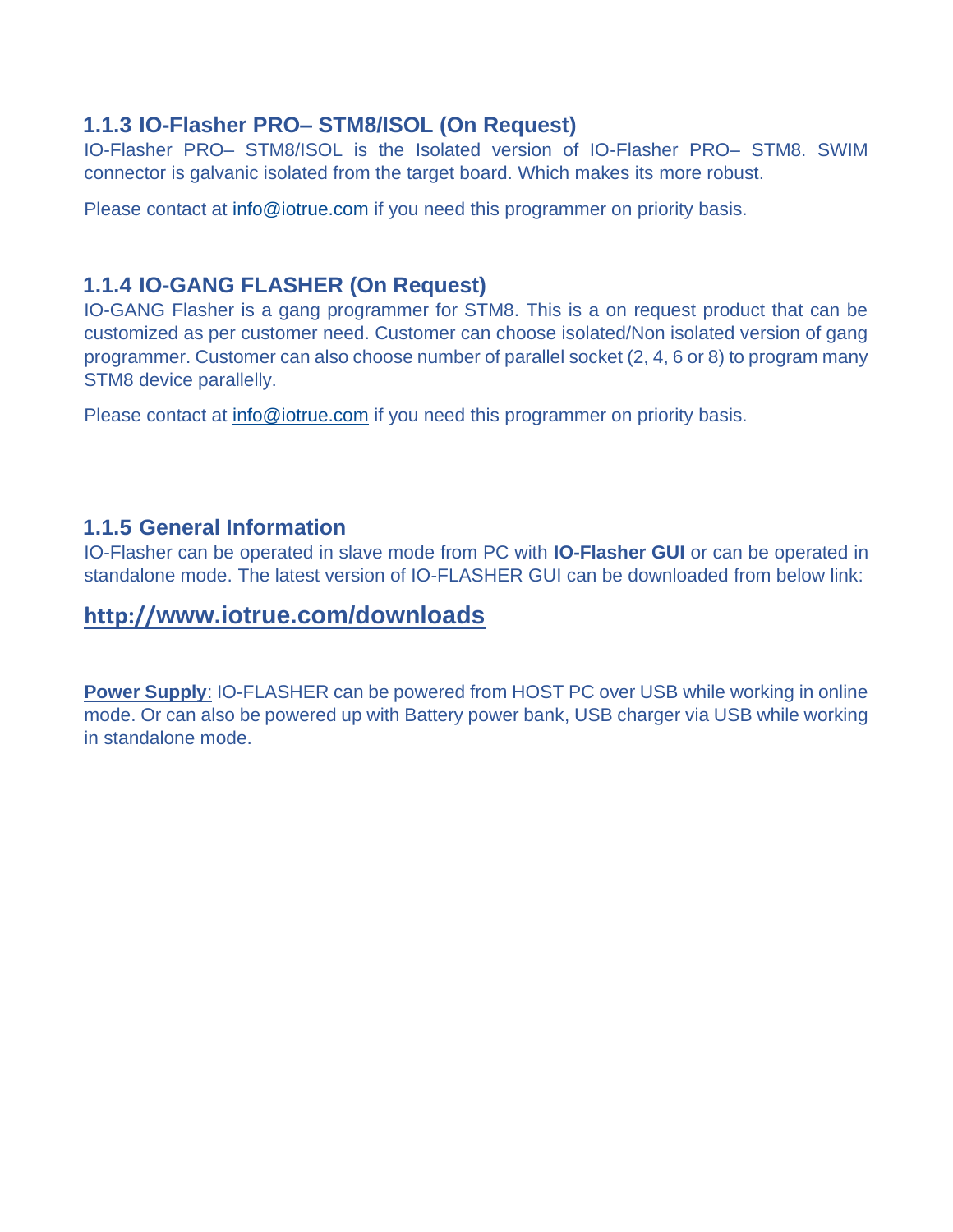### **1.1.3 IO-Flasher PRO– STM8/ISOL (On Request)**

IO-Flasher PRO– STM8/ISOL is the Isolated version of IO-Flasher PRO– STM8. SWIM connector is galvanic isolated from the target board. Which makes its more robust.

Please contact at [info@iotrue.com](mailto:info@iotrue.com) if you need this programmer on priority basis.

## **1.1.4 IO-GANG FLASHER (On Request)**

IO-GANG Flasher is a gang programmer for STM8. This is a on request product that can be customized as per customer need. Customer can choose isolated/Non isolated version of gang programmer. Customer can also choose number of parallel socket (2, 4, 6 or 8) to program many STM8 device parallelly.

Please contact at [info@iotrue.com](mailto:info@iotrue.com) if you need this programmer on priority basis.

### **1.1.5 General Information**

IO-Flasher can be operated in slave mode from PC with **IO-Flasher GUI** or can be operated in standalone mode. The latest version of IO-FLASHER GUI can be downloaded from below link:

## **http://[www.iotrue.com/downloads](http://www.iotrue.com/downloads)**

**Power Supply**: IO-FLASHER can be powered from HOST PC over USB while working in online mode. Or can also be powered up with Battery power bank, USB charger via USB while working in standalone mode.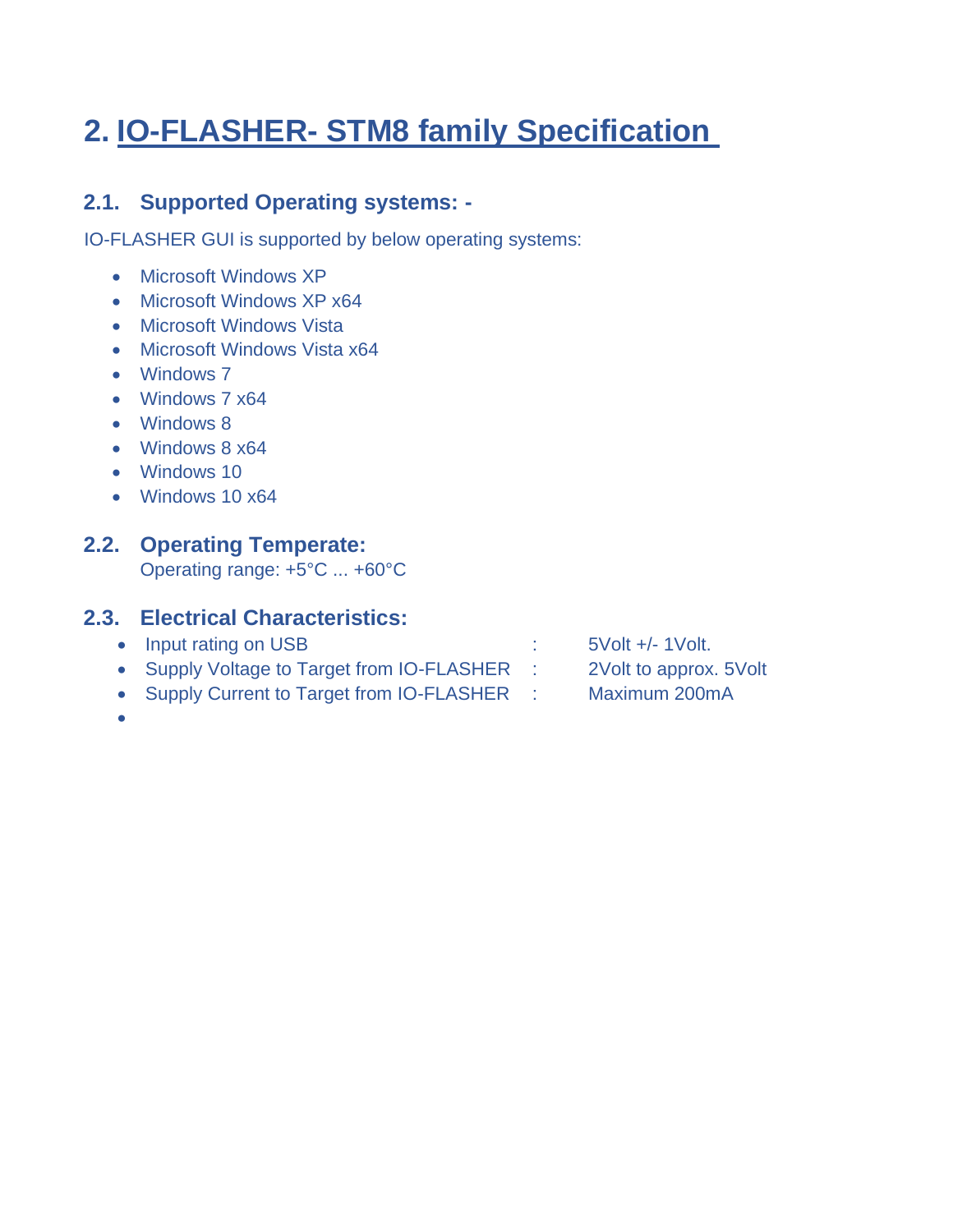# **2. IO-FLASHER- STM8 family Specification**

# **2.1. Supported Operating systems: -**

IO-FLASHER GUI is supported by below operating systems:

- Microsoft Windows XP
- Microsoft Windows XP x64
- Microsoft Windows Vista
- Microsoft Windows Vista x64
- Windows 7
- Windows 7 x64
- Windows 8
- Windows 8 x64
- Windows 10
- Windows 10 x64

## **2.2. Operating Temperate:**

Operating range: +5°C ... +60°C

### **2.3. Electrical Characteristics:**

- Input rating on USB : 5Volt +/-1Volt.
	-
- 
- Supply Voltage to Target from IO-FLASHER : 2Volt to approx. 5Volt
- Supply Current to Target from IO-FLASHER : Maximum 200mA
	-

•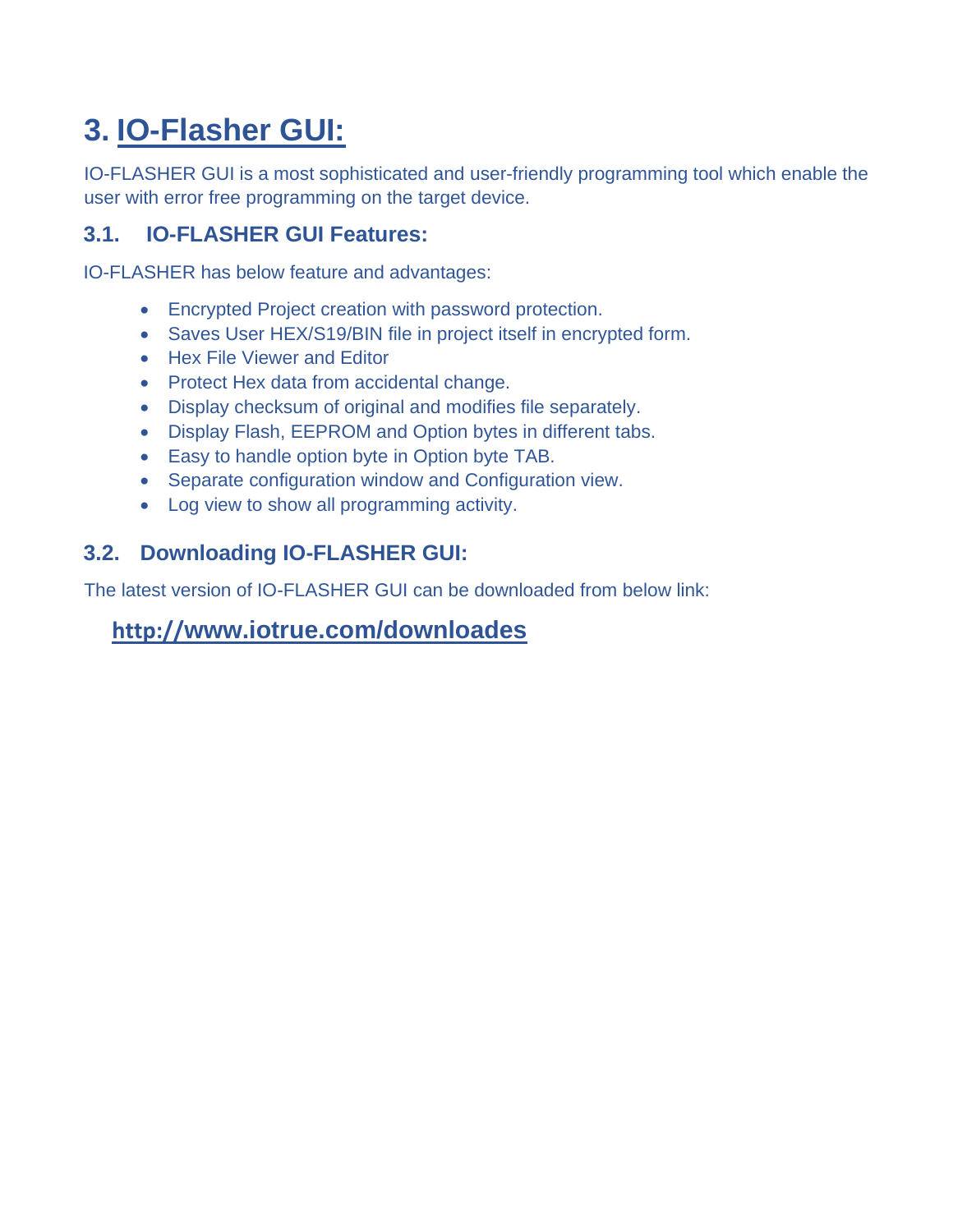# **3. IO-Flasher GUI:**

IO-FLASHER GUI is a most sophisticated and user-friendly programming tool which enable the user with error free programming on the target device.

# **3.1. IO-FLASHER GUI Features:**

IO-FLASHER has below feature and advantages:

- Encrypted Project creation with password protection.
- Saves User HEX/S19/BIN file in project itself in encrypted form.
- Hex File Viewer and Editor
- Protect Hex data from accidental change.
- Display checksum of original and modifies file separately.
- Display Flash, EEPROM and Option bytes in different tabs.
- Easy to handle option byte in Option byte TAB.
- Separate configuration window and Configuration view.
- Log view to show all programming activity.

## **3.2. Downloading IO-FLASHER GUI:**

The latest version of IO-FLASHER GUI can be downloaded from below link:

# **http://[www.iotrue.com/downloades](http://www.iotrue.com/downloades)**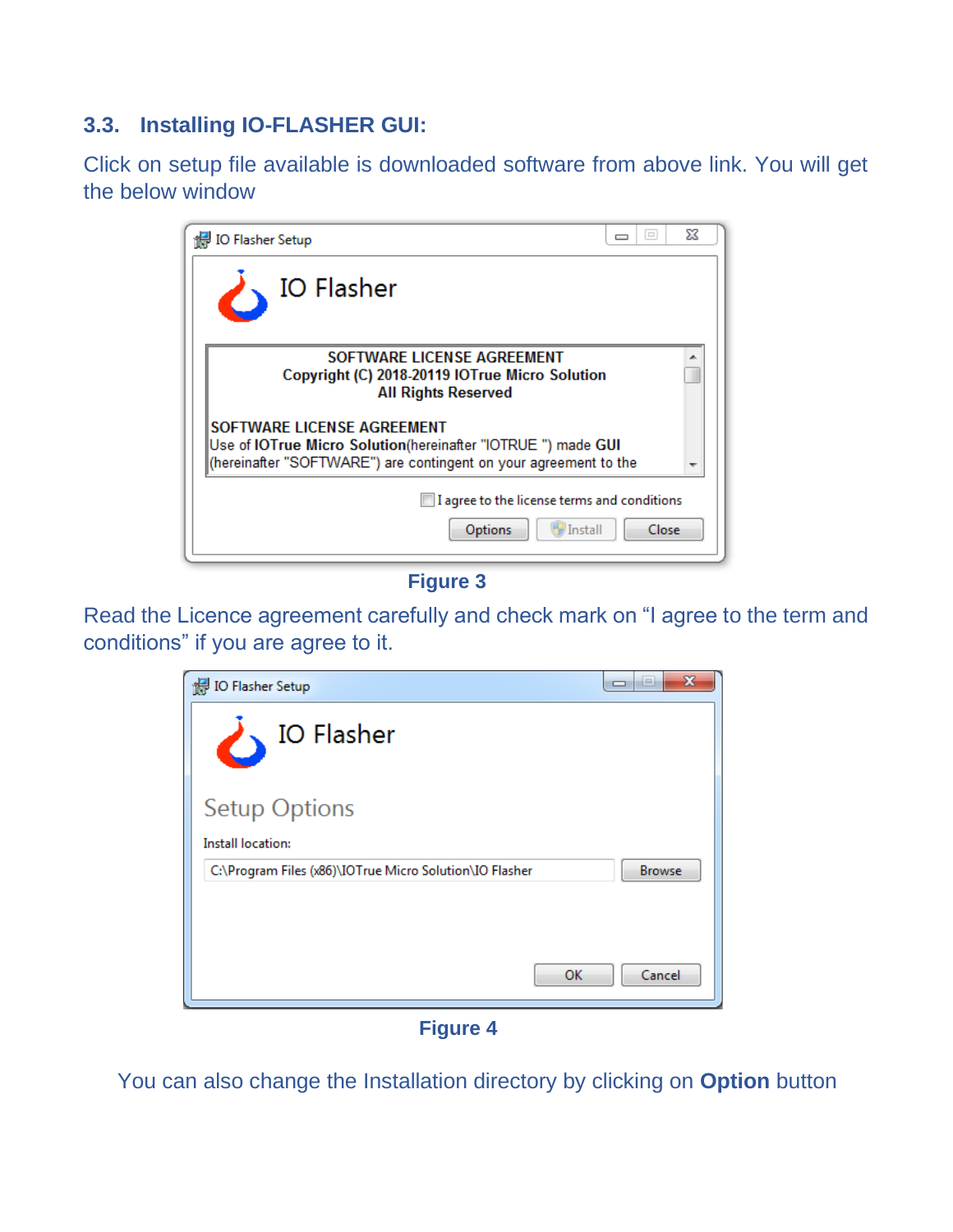# **3.3. Installing IO-FLASHER GUI:**

Click on setup file available is downloaded software from above link. You will get the below window

| <b>Ho Flasher Setup</b>                                                                                                                                        | $\qquad \qquad \Box$<br>$\overline{\phantom{0}}$ | 23 |
|----------------------------------------------------------------------------------------------------------------------------------------------------------------|--------------------------------------------------|----|
| <b>IO Flasher</b>                                                                                                                                              |                                                  |    |
| SOFTWARE LICENSE AGREEMENT<br>Copyright (C) 2018-20119 IOTrue Micro Solution<br><b>All Rights Reserved</b>                                                     |                                                  |    |
| SOFTWARE LICENSE AGREEMENT<br>Use of IOTrue Micro Solution(hereinafter "IOTRUE ") made GUI<br>(hereinafter "SOFTWARE") are contingent on your agreement to the |                                                  |    |
| I agree to the license terms and conditions<br><b>Install</b><br>Options                                                                                       | Close                                            |    |

**Figure 3**

Read the Licence agreement carefully and check mark on "I agree to the term and conditions" if you are agree to it.



**Figure 4**

You can also change the Installation directory by clicking on **Option** button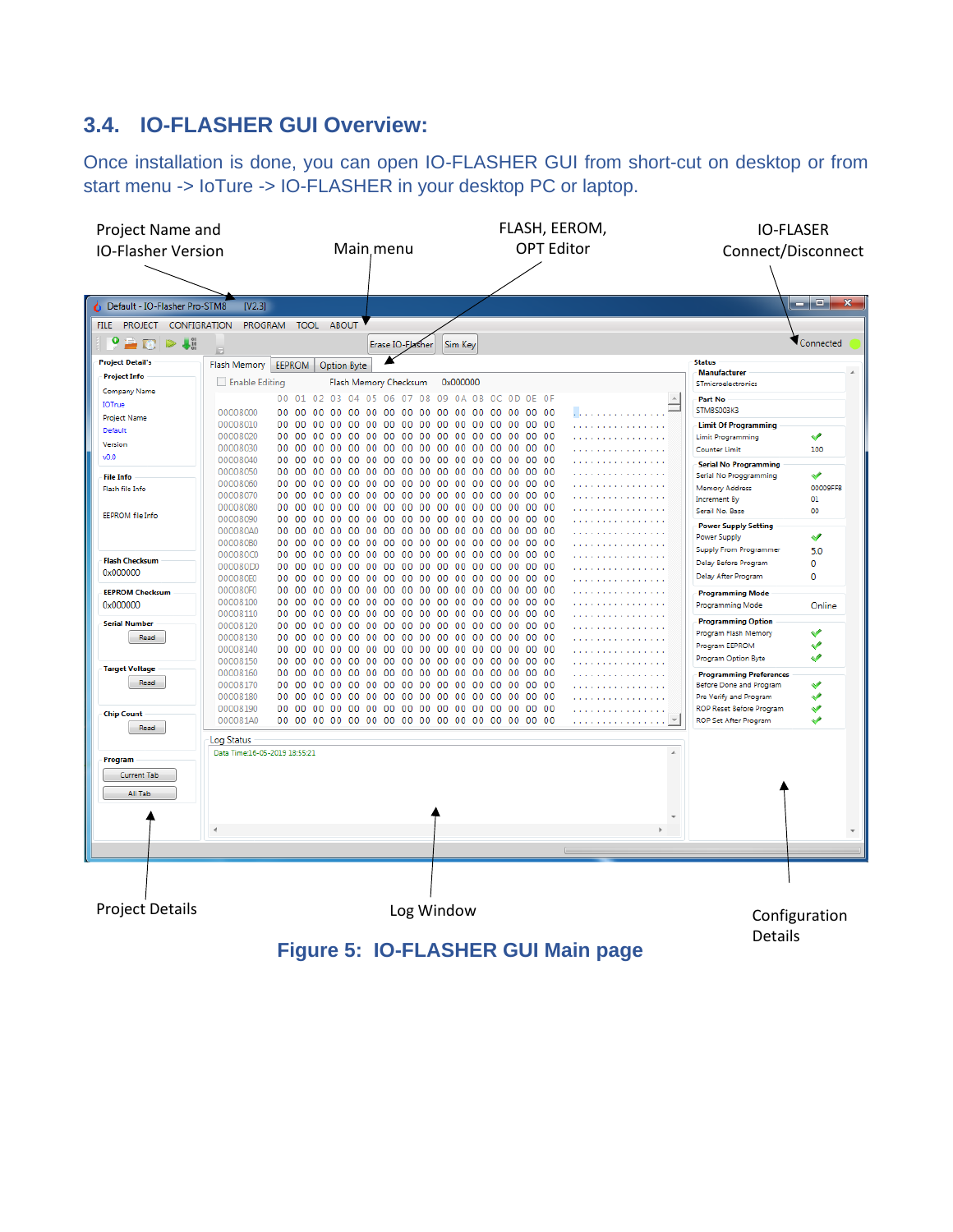# **3.4. IO-FLASHER GUI Overview:**

Once installation is done, you can open IO-FLASHER GUI from short-cut on desktop or from start menu -> IoTure -> IO-FLASHER in your desktop PC or laptop.



**Figure 5: IO-FLASHER GUI Main page**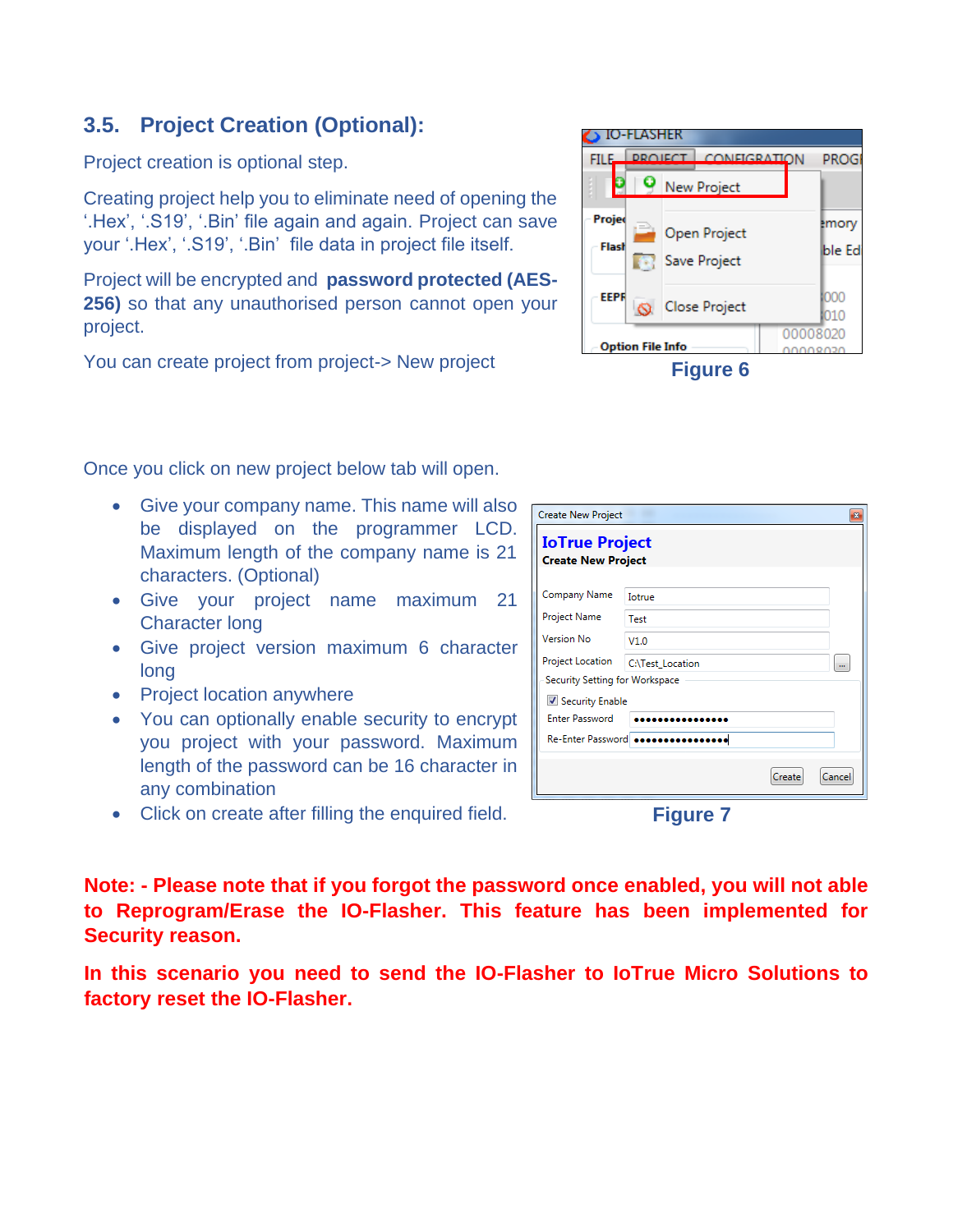## **3.5. Project Creation (Optional):**

Project creation is optional step.

Creating project help you to eliminate need of opening the '.Hex', '.S19', '.Bin' file again and again. Project can save your '.Hex', '.S19', '.Bin' file data in project file itself.

Project will be encrypted and **password protected (AES-256)** so that any unauthorised person cannot open your project.

You can create project from project-> New project

Once you click on new project below tab will open.

- Give your company name. This name will also be displayed on the programmer LCD. Maximum length of the company name is 21 characters. (Optional)
- Give your project name maximum 21 Character long
- Give project version maximum 6 character long
- Project location anywhere
- You can optionally enable security to encrypt you project with your password. Maximum length of the password can be 16 character in any combination
- Click on create after filling the enquired field.

**Note: - Please note that if you forgot the password once enabled, you will not able to Reprogram/Erase the IO-Flasher. This feature has been implemented for Security reason.** 

**In this scenario you need to send the IO-Flasher to IoTrue Micro Solutions to factory reset the IO-Flasher.** 

|                 | IO-FLASHER              |                                     |                 |
|-----------------|-------------------------|-------------------------------------|-----------------|
| <b>FILE</b>     |                         | <b>DROIECT CONFIGRATION</b>         | PROGI           |
|                 |                         | New Project                         |                 |
| Projec<br>Flash | $\Rightarrow$<br>m      | <b>Open Project</b><br>Save Project | emory<br>ble Ed |
| <b>EEPR</b>     |                         | <b>Close Project</b>                | 1000<br>010     |
|                 | <b>Option File Info</b> |                                     | 00008020        |
|                 |                         | .                                   |                 |

**Figure 6**

| <b>Create New Project</b>                          |                  |        |                      |
|----------------------------------------------------|------------------|--------|----------------------|
| <b>IoTrue Project</b><br><b>Create New Project</b> |                  |        |                      |
| Company Name                                       | <b>Totrue</b>    |        |                      |
| Project Name                                       | Test             |        |                      |
| Version No                                         | V1.0             |        |                      |
| Project Location                                   | C:\Test_Location |        | $\ddot{\phantom{a}}$ |
| Security Setting for Workspace                     |                  |        |                      |
| Security Enable                                    |                  |        |                      |
| <b>Enter Password</b>                              |                  |        |                      |
| Re-Enter Password <b>sees</b>                      |                  |        |                      |
|                                                    |                  | Create | Cancel               |

**Figure 7**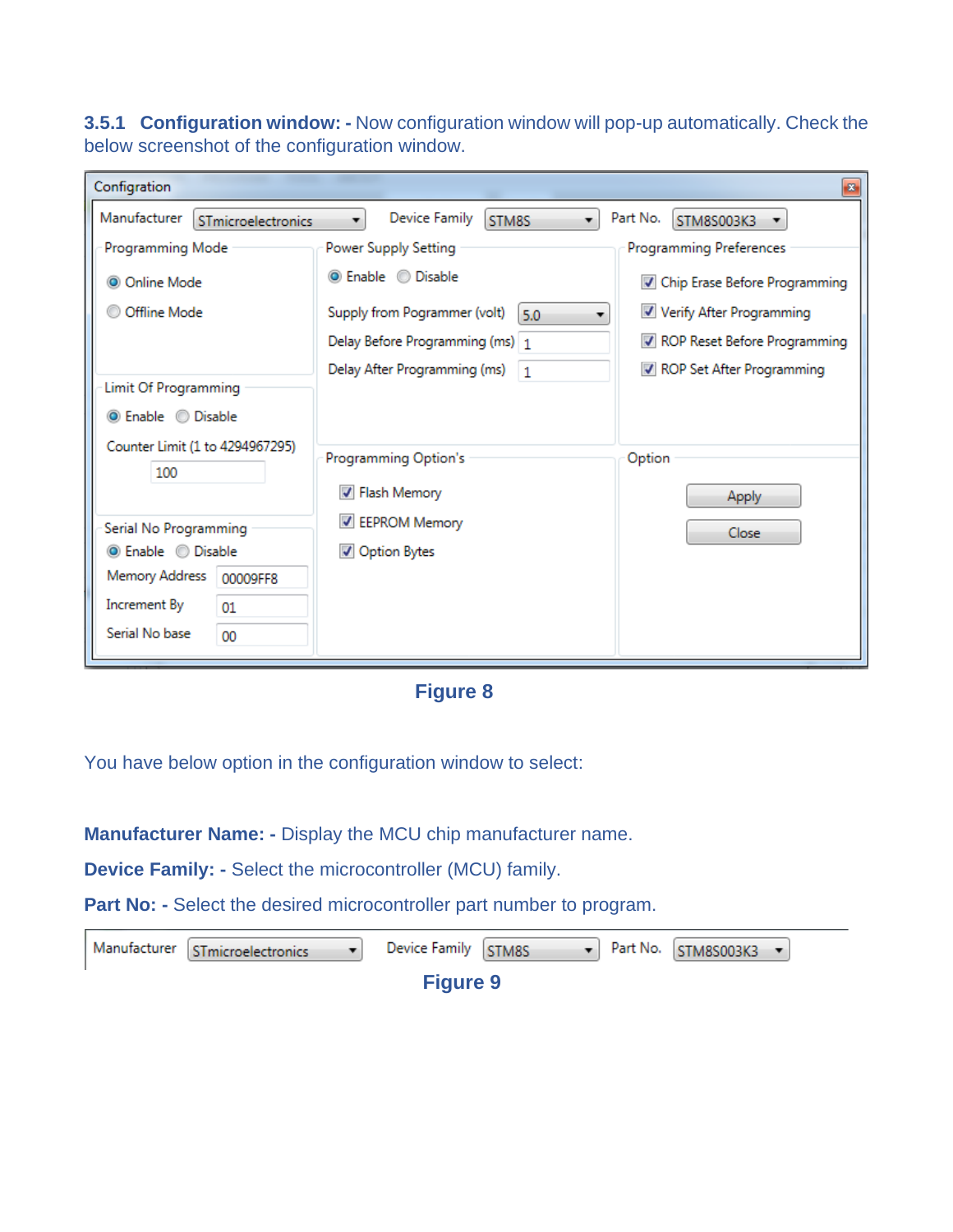**3.5.1 Configuration window: -** Now configuration window will pop-up automatically. Check the below screenshot of the configuration window.

| Configration                                             |                                           | $\mathbf{z}$                   |
|----------------------------------------------------------|-------------------------------------------|--------------------------------|
| Manufacturer<br>STmicroelectronics                       | Device Family<br>STM8S<br>۰.              | Part No.<br>STM8S003K3         |
| Programming Mode                                         | Power Supply Setting                      | <b>Programming Preferences</b> |
| © Online Mode                                            | <b>O</b> Enable © Disable                 | Chip Erase Before Programming  |
| Offline Mode                                             | Supply from Pogrammer (volt)<br>5.0       | Verify After Programming       |
|                                                          | Delay Before Programming (ms) 1           | ROP Reset Before Programming   |
|                                                          | Delay After Programming (ms)<br>$\vert$ 1 | ROP Set After Programming      |
| <b>Limit Of Programming</b><br><b>O</b> Enable © Disable |                                           |                                |
| Counter Limit (1 to 4294967295)                          |                                           |                                |
| 100                                                      | Programming Option's                      | Option                         |
|                                                          | <b>√</b> Flash Memory                     | Apply                          |
| Serial No Programming                                    | <b>EEPROM Memory</b>                      | Close                          |
| <b>O</b> Enable © Disable                                | Option Bytes                              |                                |
| Memory Address<br>00009FF8                               |                                           |                                |
| Increment By<br>01                                       |                                           |                                |
| Serial No base<br>00                                     |                                           |                                |
|                                                          |                                           |                                |

### **Figure 8**

You have below option in the configuration window to select:

**Manufacturer Name: -** Display the MCU chip manufacturer name.

**Device Family: -** Select the microcontroller (MCU) family.

Part No: - Select the desired microcontroller part number to program.

| Manufacturer STmicroelectronics | Device Family STM8S |  | $\blacktriangleright$ Part No. STM8S003K3 $\blacktriangleright$ |  |
|---------------------------------|---------------------|--|-----------------------------------------------------------------|--|
|                                 | <b>Figure 9</b>     |  |                                                                 |  |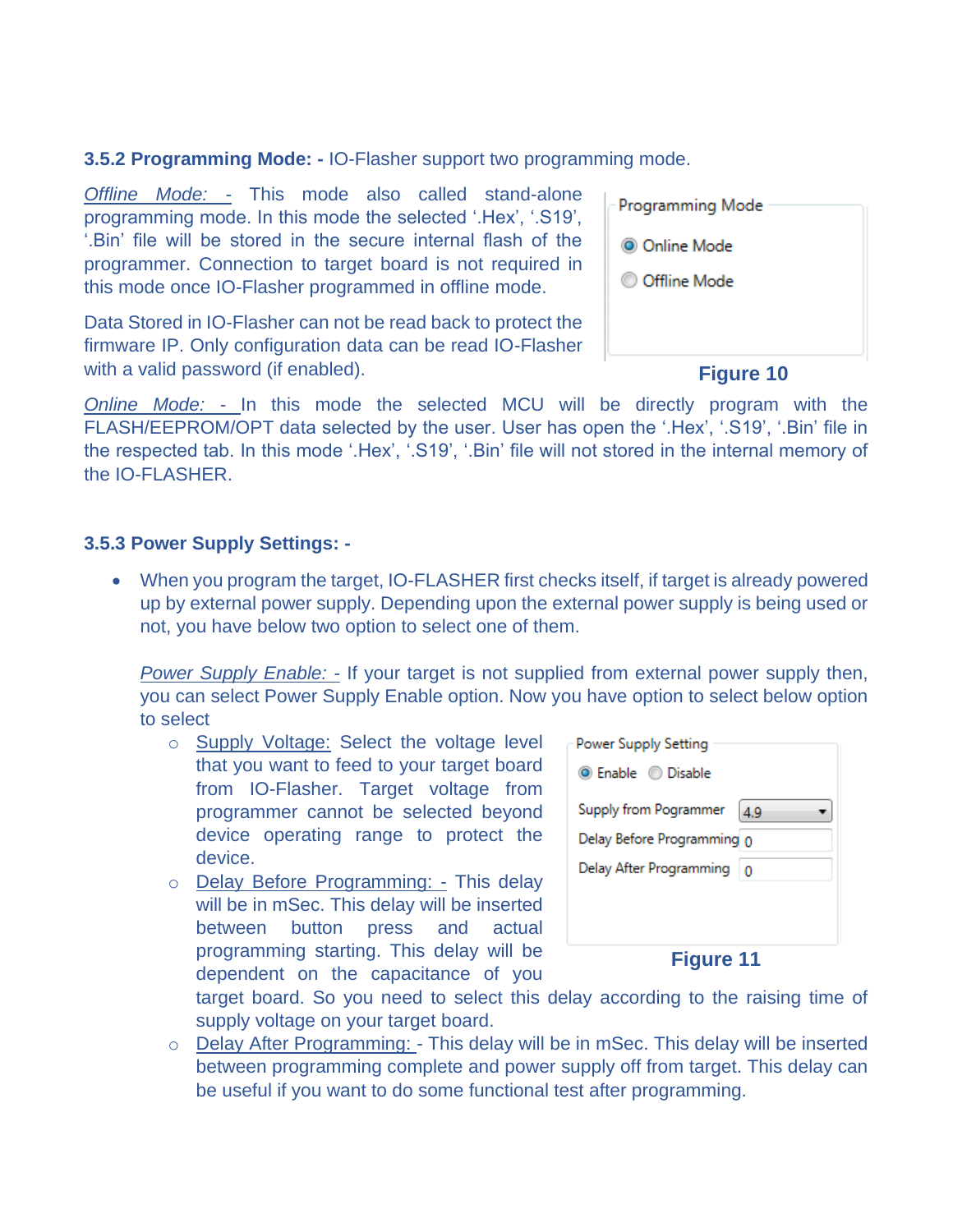**3.5.2 Programming Mode: -** IO-Flasher support two programming mode.

*Offline Mode: -* This mode also called stand-alone programming mode. In this mode the selected '.Hex', '.S19', '.Bin' file will be stored in the secure internal flash of the programmer. Connection to target board is not required in this mode once IO-Flasher programmed in offline mode.

Data Stored in IO-Flasher can not be read back to protect the firmware IP. Only configuration data can be read IO-Flasher with a valid password (if enabled).

| Programming Mode     |
|----------------------|
| <b>O</b> Online Mode |
| © Offline Mode       |
|                      |
|                      |

#### **Figure 10**

*Online Mode: -* In this mode the selected MCU will be directly program with the FLASH/EEPROM/OPT data selected by the user. User has open the '.Hex', '.S19', '.Bin' file in the respected tab. In this mode '.Hex', '.S19', '.Bin' file will not stored in the internal memory of the IO-FLASHER.

#### **3.5.3 Power Supply Settings: -**

• When you program the target, IO-FLASHER first checks itself, if target is already powered up by external power supply. Depending upon the external power supply is being used or not, you have below two option to select one of them.

*Power Supply Enable: - If your target is not supplied from external power supply then,* you can select Power Supply Enable option. Now you have option to select below option to select

- o Supply Voltage: Select the voltage level that you want to feed to your target board from IO-Flasher. Target voltage from programmer cannot be selected beyond device operating range to protect the device.
- o Delay Before Programming: This delay will be in mSec. This delay will be inserted between button press and actual programming starting. This delay will be dependent on the capacitance of you

| Power Supply Setting       |     |
|----------------------------|-----|
| <b>O</b> Enable © Disable  |     |
| Supply from Pogrammer      | 4.9 |
| Delay Before Programming 0 |     |
| Delay After Programming    |     |
|                            |     |
|                            |     |
|                            |     |

**Figure 11**

target board. So you need to select this delay according to the raising time of supply voltage on your target board.

o Delay After Programming: - This delay will be in mSec. This delay will be inserted between programming complete and power supply off from target. This delay can be useful if you want to do some functional test after programming.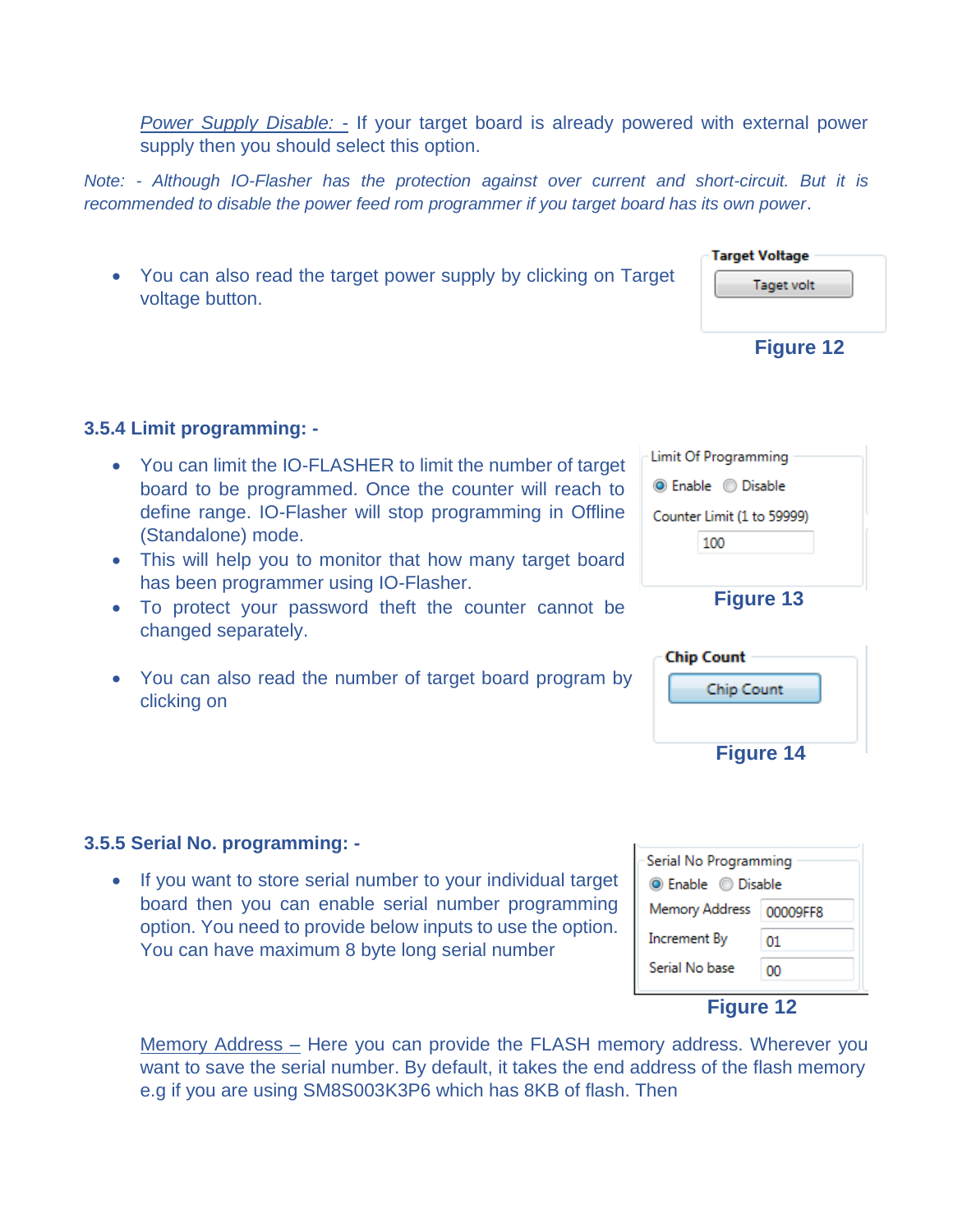*Power Supply Disable: -* If your target board is already powered with external power supply then you should select this option.

*Note: - Although IO-Flasher has the protection against over current and short-circuit. But it is recommended to disable the power feed rom programmer if you target board has its own power*.

• You can also read the target power supply by clicking on Target voltage button.

**Target Voltage** Taget volt **Figure 12**

**3.5.4 Limit programming: -**

- You can limit the IO-FLASHER to limit the number of target board to be programmed. Once the counter will reach to define range. IO-Flasher will stop programming in Offline (Standalone) mode.
- This will help you to monitor that how many target board has been programmer using IO-Flasher.
- To protect your password theft the counter cannot be changed separately.
- You can also read the number of target board program by clicking on

| Limit Of Programming       |
|----------------------------|
| <b>O</b> Enable © Disable  |
| Counter Limit (1 to 59999) |
| 100                        |
|                            |
| <b>Figure 13</b>           |

| <b>Chip Count</b> |  |
|-------------------|--|
| Chip Count        |  |
|                   |  |
| <b>Figure 14</b>  |  |

| Serial No Programming      |    |  |
|----------------------------|----|--|
| <b>O</b> Enable © Disable  |    |  |
| Memory Address<br>00009FF8 |    |  |
| Increment By               | 01 |  |
| Serial No base             | oο |  |
|                            |    |  |

#### **Figure 12**

Memory Address – Here you can provide the FLASH memory address. Wherever you want to save the serial number. By default, it takes the end address of the flash memory e.g if you are using SM8S003K3P6 which has 8KB of flash. Then

**3.5.5 Serial No. programming: -**

• If you want to store serial number to your individual target board then you can enable serial number programming option. You need to provide below inputs to use the option.

You can have maximum 8 byte long serial number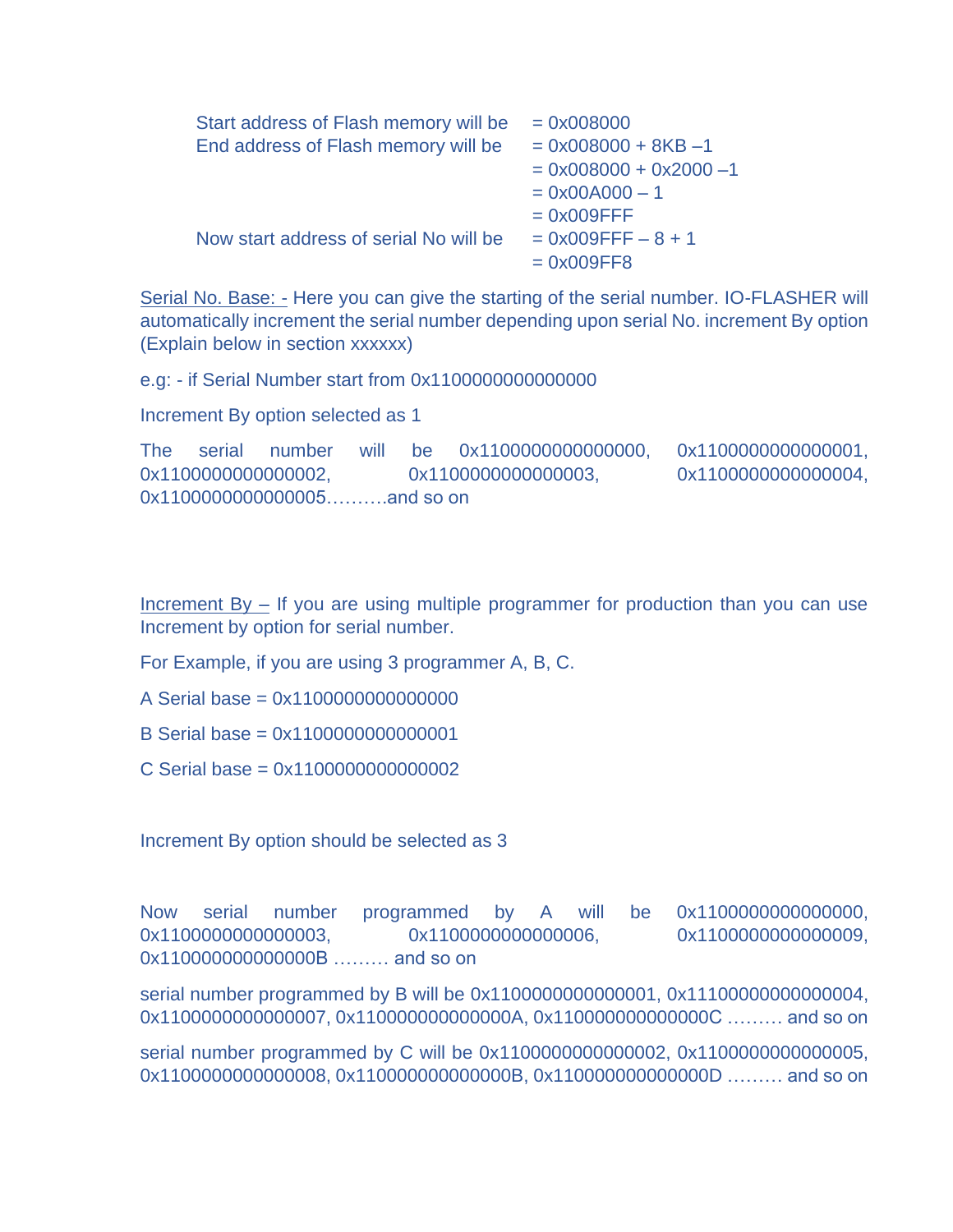| Start address of Flash memory will be  | $= 0x008000$              |
|----------------------------------------|---------------------------|
| End address of Flash memory will be    | $= 0x008000 + 8KB - 1$    |
|                                        | $= 0x008000 + 0x2000 - 1$ |
|                                        | $= 0x00A000 - 1$          |
|                                        | $= 0x009$ FFF             |
| Now start address of serial No will be | $= 0x009$ FFF $- 8 + 1$   |
|                                        | $= 0x009FF8$              |
|                                        |                           |

Serial No. Base: - Here you can give the starting of the serial number. IO-FLASHER will automatically increment the serial number depending upon serial No. increment By option (Explain below in section xxxxxx)

e.g: - if Serial Number start from 0x1100000000000000

Increment By option selected as 1

The serial number will be 0x1100000000000000, 0x1100000000000001, 0x1100000000000002, 0x11000000000000003, 0x1100000000000004, 0x1100000000000005……….and so on

Increment By – If you are using multiple programmer for production than you can use Increment by option for serial number.

For Example, if you are using 3 programmer A, B, C.

A Serial base = 0x1100000000000000

B Serial base = 0x1100000000000001

C Serial base = 0x1100000000000002

Increment By option should be selected as 3

Now serial number programmed by A will be 0x1100000000000000, 0x1100000000000003, 0x11000000000000006, 0x11000000000000009, 0x110000000000000B ……… and so on

serial number programmed by B will be 0x1100000000000001, 0x11100000000000004, 0x1100000000000007, 0x110000000000000A, 0x110000000000000C ……… and so on

serial number programmed by C will be 0x1100000000000002, 0x1100000000000005, 0x1100000000000008, 0x110000000000000B, 0x110000000000000D ……… and so on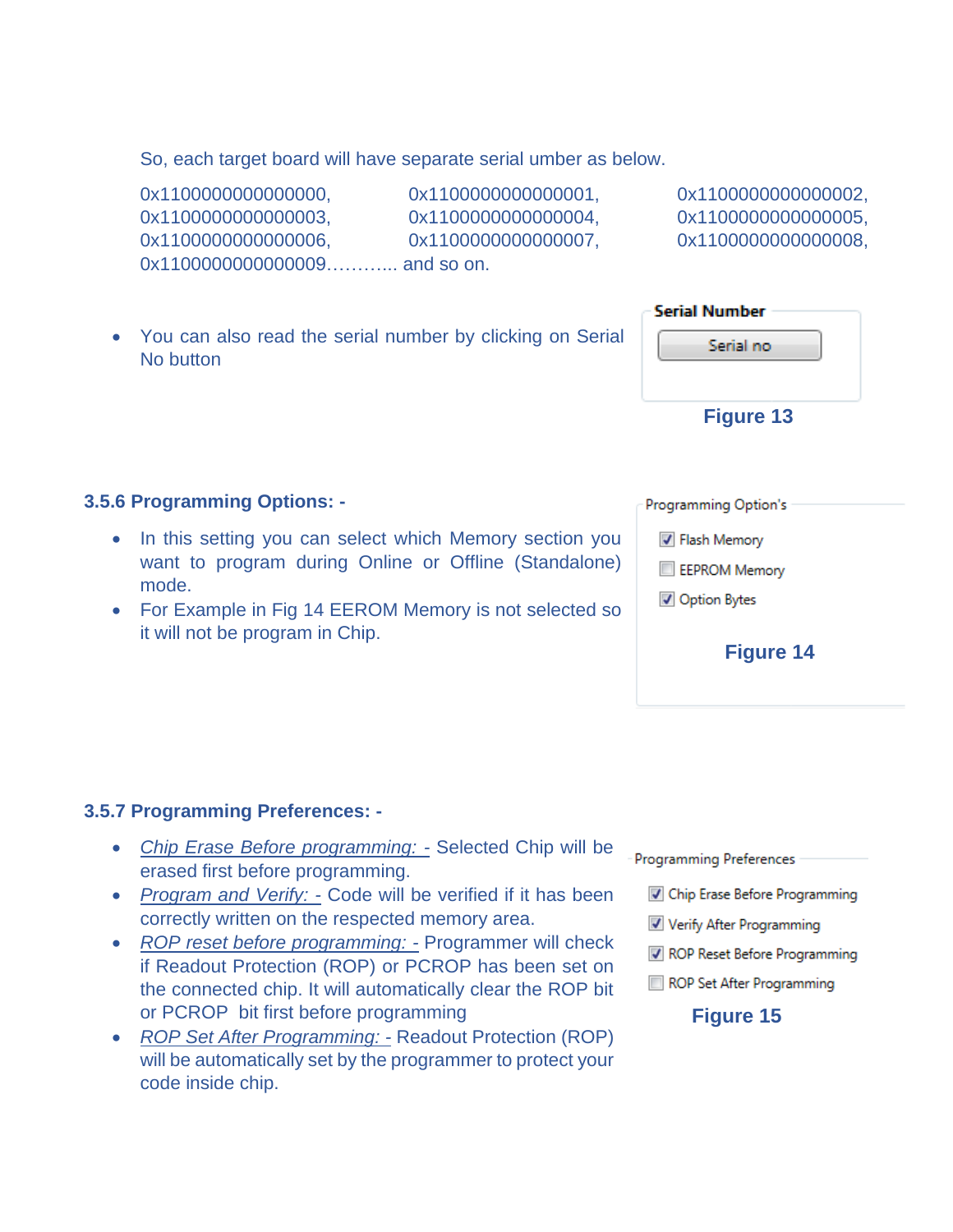So, each target board will have separate serial umber as below.

0x1100000000000000, 0x1100000000000001, 0x1100000000000002, 0x1100000000000003, 0x1100000000000004, 0x110000000000005, 0x1100000000000006, 0x11000000000000007, 0x1100000000000008, 0x11000000000000009............. and so on.

• You can also read the serial number by clicking on Serial No button

#### **3.5.6 Programming Options: -**

- In this setting you can select which Memory section you want to program during Online or Offline (Standalone) mode.
- For Example in Fig 14 EEROM Memory is not selected so it will not be program in Chip.

Programming Option's

**V** Flash Memory

EEPROM Memory

Option Bytes

#### **Figure 14**

#### **3.5.7 Programming Preferences: -**

- *Chip Erase Before programming: -* Selected Chip will be erased first before programming.
- *Program and Verify: -* Code will be verified if it has been correctly written on the respected memory area.
- *ROP reset before programming: -* Programmer will check if Readout Protection (ROP) or PCROP has been set on the connected chip. It will automatically clear the ROP bit or PCROP bit first before programming
- *ROP Set After Programming: -* Readout Protection (ROP) will be automatically set by the programmer to protect your code inside chip.

**Programming Preferences** 

- Chip Erase Before Programming
- Verify After Programming
- ROP Reset Before Programming
- ROP Set After Programming

#### **Figure 15**

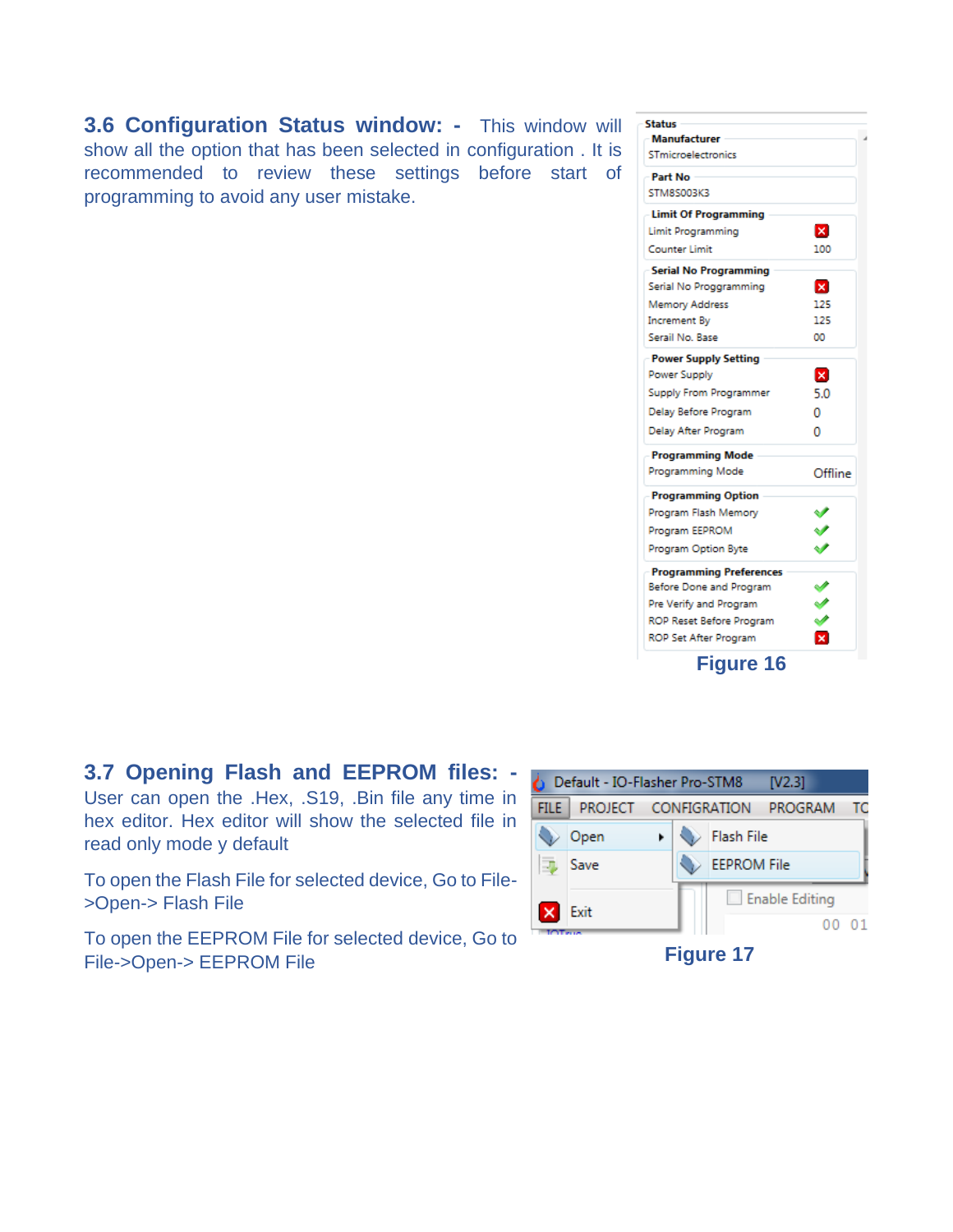**3.6 Configuration Status window: -** This window will show all the option that has been selected in configuration . It is recommended to review these settings before start of programming to avoid any user mistake.

| <b>Status</b>                             |         |
|-------------------------------------------|---------|
| <b>Manufacturer</b><br>STmicroelectronics |         |
|                                           |         |
| <b>Part No</b>                            |         |
| STM8S003K3                                |         |
| <b>Limit Of Programming</b>               |         |
| <b>Limit Programming</b>                  | ×       |
| <b>Counter Limit</b>                      | 100     |
| <b>Serial No Programming</b>              |         |
| Serial No Proggramming                    | ×       |
| <b>Memory Address</b>                     | 125     |
| Increment By                              | 125     |
| Serail No. Base                           | 00      |
| <b>Power Supply Setting</b>               |         |
| Power Supply                              | ×       |
| Supply From Programmer                    | 5.0     |
| Delay Before Program                      | 0       |
| Delay After Program                       | n       |
| <b>Programming Mode</b>                   |         |
| <b>Programming Mode</b>                   | Offline |
| <b>Programming Option</b>                 |         |
| Program Flash Memory                      |         |
| Program EEPROM                            |         |
| Program Option Byte                       |         |
| <b>Programming Preferences</b>            |         |
| Before Done and Program                   | ✔       |
| Pre Verify and Program                    | ジ       |
| ROP Reset Before Program                  |         |
| <b>ROP Set After Program</b>              | x       |

# **3.7 Opening Flash and EEPROM files: -**

User can open the .Hex, .S19, .Bin file any time in hex editor. Hex editor will show the selected file in read only mode y default

To open the Flash File for selected device, Go to File- >Open-> Flash File

To open the EEPROM File for selected device, Go to File->Open-> EEPROM File

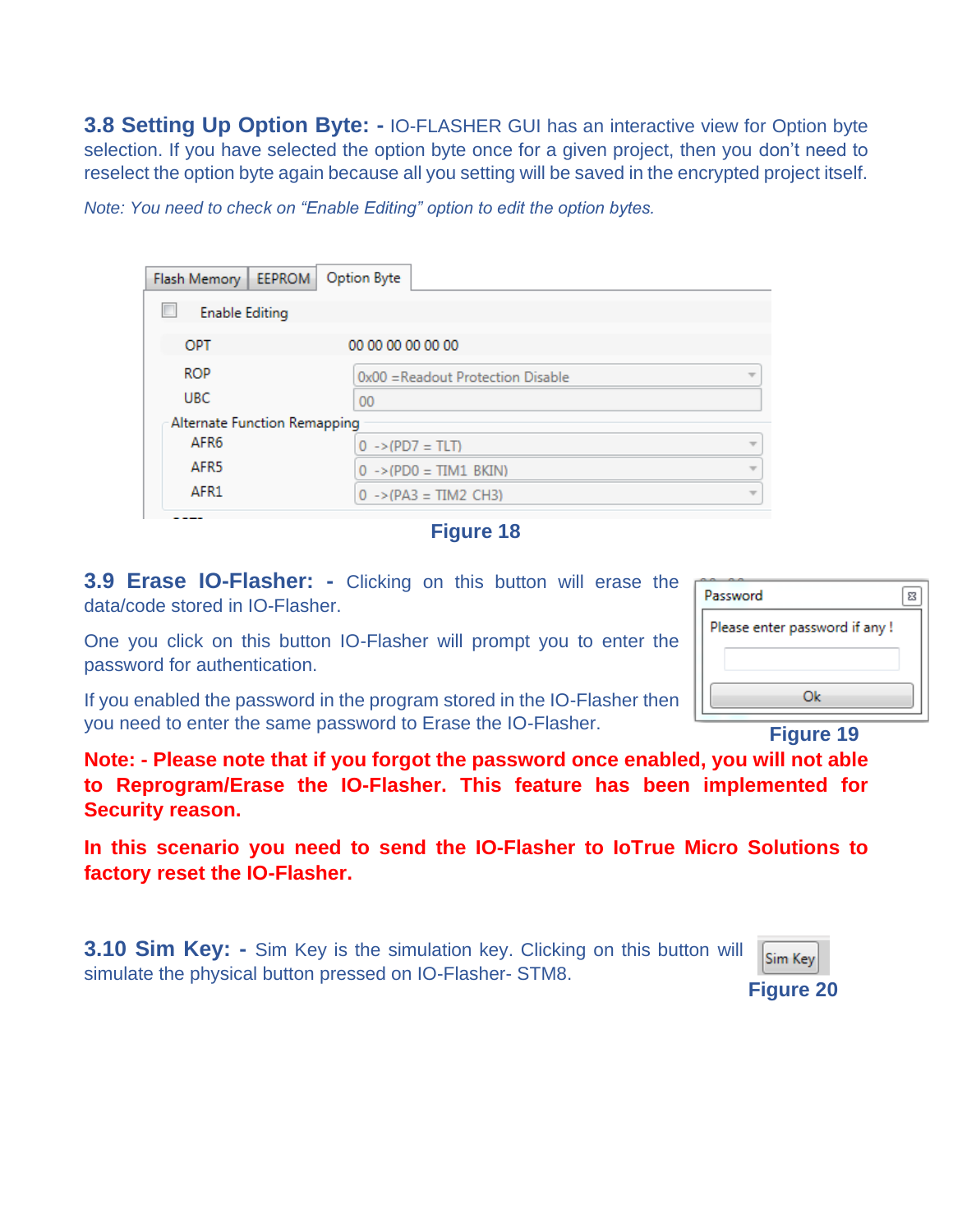**3.8 Setting Up Option Byte: -** IO-FLASHER GUI has an interactive view for Option byte selection. If you have selected the option byte once for a given project, then you don't need to reselect the option byte again because all you setting will be saved in the encrypted project itself.

*Note: You need to check on "Enable Editing" option to edit the option bytes.* 

| Flash Memory   EEPROM        | Option Byte                            |  |
|------------------------------|----------------------------------------|--|
| <b>Enable Editing</b>        |                                        |  |
| OPT                          | 00 00 00 00 00 00                      |  |
| <b>ROP</b>                   | 0x00 = Readout Protection Disable<br>w |  |
| <b>UBC</b>                   | 00                                     |  |
| Alternate Function Remapping |                                        |  |
| AFR <sub>6</sub>             | $0 \rightarrow (PD7 = TLT)$            |  |
| AFR <sub>5</sub>             | $0 \rightarrow (PDO = TIM1 BKIN)$      |  |
| AFR1                         | $0 \rightarrow (PA3 = TIM2 CH3)$       |  |

**Figure 18**

**3.9 Erase IO-Flasher: -** Clicking on this button will erase the data/code stored in IO-Flasher.

One you click on this button IO-Flasher will prompt you to enter the password for authentication.

If you enabled the password in the program stored in the IO-Flasher then you need to enter the same password to Erase the IO-Flasher.

**Figure 19**

Ok

Please enter password if any!

| 83

Password

**Note: - Please note that if you forgot the password once enabled, you will not able to Reprogram/Erase the IO-Flasher. This feature has been implemented for Security reason.** 

**In this scenario you need to send the IO-Flasher to IoTrue Micro Solutions to factory reset the IO-Flasher.** 

**3.10 Sim Key: -** Sim Key is the simulation key. Clicking on this button will simulate the physical button pressed on IO-Flasher- STM8.

| Лr<br>. . |
|-----------|
|-----------|

**Figure 20**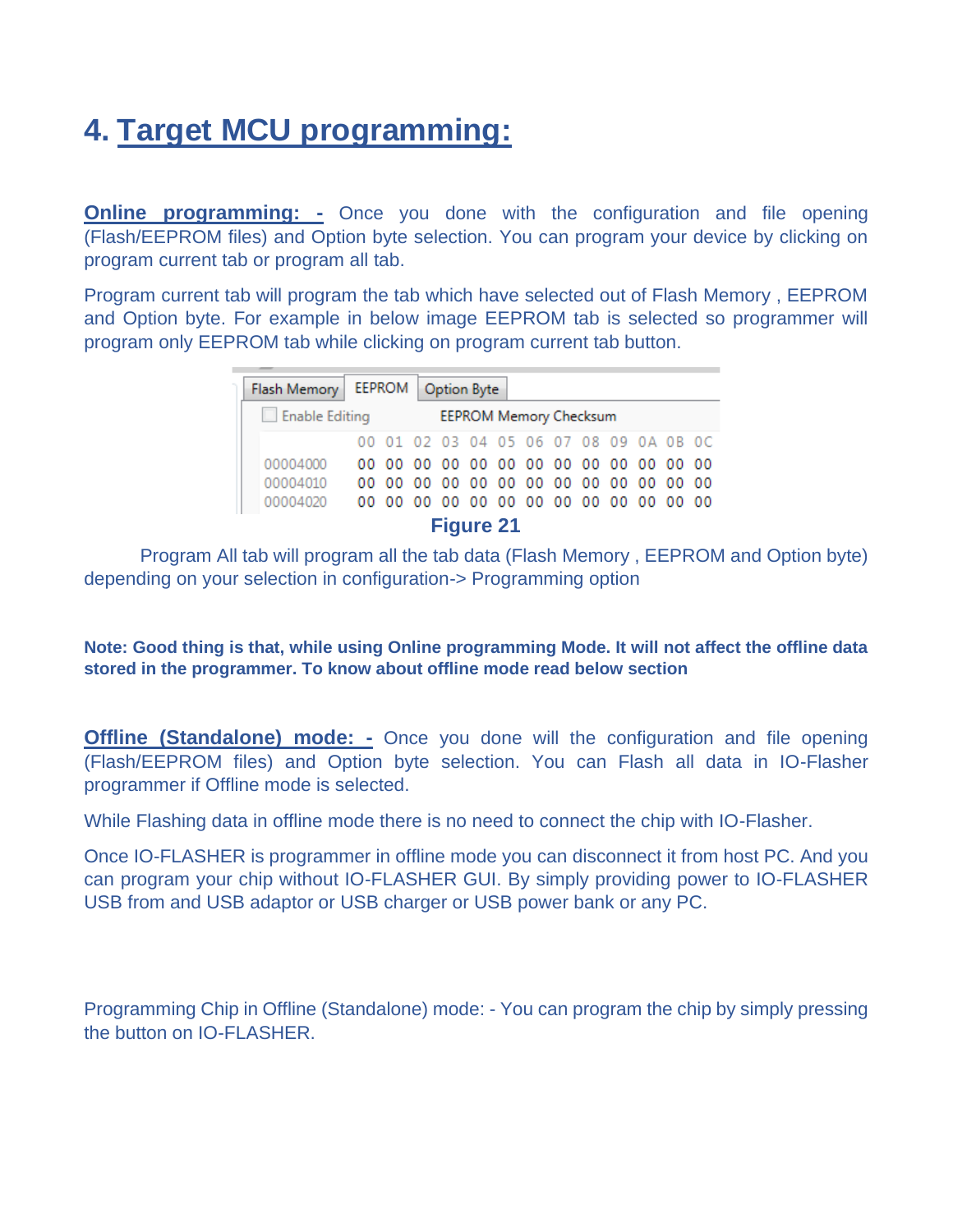# **4. Target MCU programming:**

**Online programming: -** Once you done with the configuration and file opening (Flash/EEPROM files) and Option byte selection. You can program your device by clicking on program current tab or program all tab.

Program current tab will program the tab which have selected out of Flash Memory , EEPROM and Option byte. For example in below image EEPROM tab is selected so programmer will program only EEPROM tab while clicking on program current tab button.

| Flash Memory   EEPROM   Option Byte |                                        |  |  |  |  |  |  |  |  |                                        |  |  |
|-------------------------------------|----------------------------------------|--|--|--|--|--|--|--|--|----------------------------------------|--|--|
| EEPROM Memory Checksum              |                                        |  |  |  |  |  |  |  |  |                                        |  |  |
|                                     |                                        |  |  |  |  |  |  |  |  | 00 01 02 03 04 05 06 07 08 09 0A 0B 0C |  |  |
| 00004000                            |                                        |  |  |  |  |  |  |  |  | 00 00 00 00 00 00 00 00 00 00 00 00 00 |  |  |
| 00004010                            |                                        |  |  |  |  |  |  |  |  | 00 00 00 00 00 00 00 00 00 00 00 00 00 |  |  |
| 00004020                            | 00 00 00 00 00 00 00 00 00 00 00 00 00 |  |  |  |  |  |  |  |  |                                        |  |  |
| <b>Figure 21</b>                    |                                        |  |  |  |  |  |  |  |  |                                        |  |  |

Program All tab will program all the tab data (Flash Memory , EEPROM and Option byte) depending on your selection in configuration-> Programming option

**Note: Good thing is that, while using Online programming Mode. It will not affect the offline data stored in the programmer. To know about offline mode read below section** 

**Offline (Standalone) mode: -** Once you done will the configuration and file opening (Flash/EEPROM files) and Option byte selection. You can Flash all data in IO-Flasher programmer if Offline mode is selected.

While Flashing data in offline mode there is no need to connect the chip with IO-Flasher.

Once IO-FLASHER is programmer in offline mode you can disconnect it from host PC. And you can program your chip without IO-FLASHER GUI. By simply providing power to IO-FLASHER USB from and USB adaptor or USB charger or USB power bank or any PC.

Programming Chip in Offline (Standalone) mode: - You can program the chip by simply pressing the button on IO-FLASHER.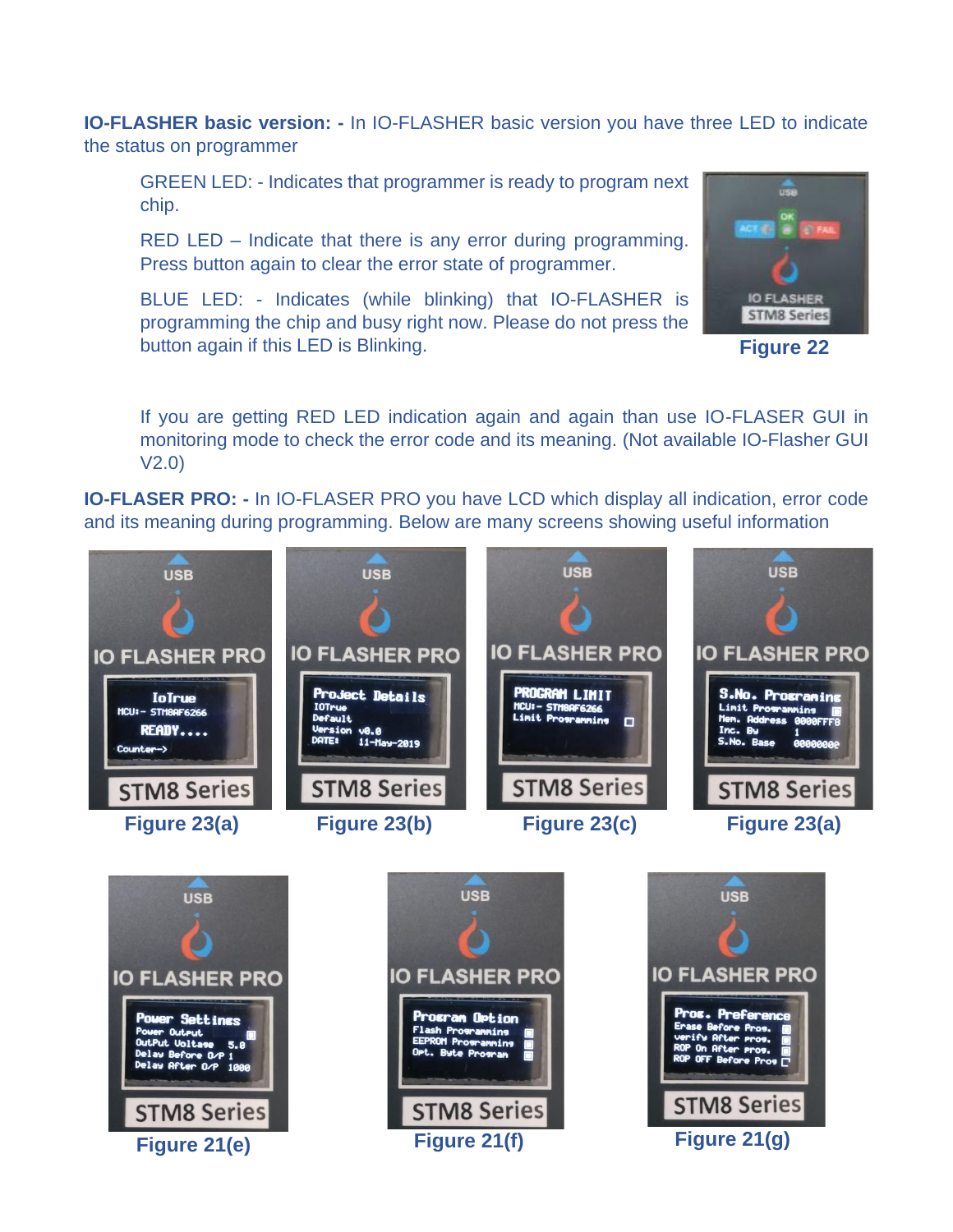**IO-FLASHER basic version: -** In IO-FLASHER basic version you have three LED to indicate the status on programmer

GREEN LED: - Indicates that programmer is ready to program next chip.

RED LED – Indicate that there is any error during programming. Press button again to clear the error state of programmer.

BLUE LED: - Indicates (while blinking) that IO-FLASHER is programming the chip and busy right now. Please do not press the button again if this LED is Blinking.



**Figure 22**

If you are getting RED LED indication again and again than use IO-FLASER GUI in monitoring mode to check the error code and its meaning. (Not available IO-Flasher GUI V2.0)

**IO-FLASER PRO: -** In IO-FLASER PRO you have LCD which display all indication, error code and its meaning during programming. Below are many screens showing useful information

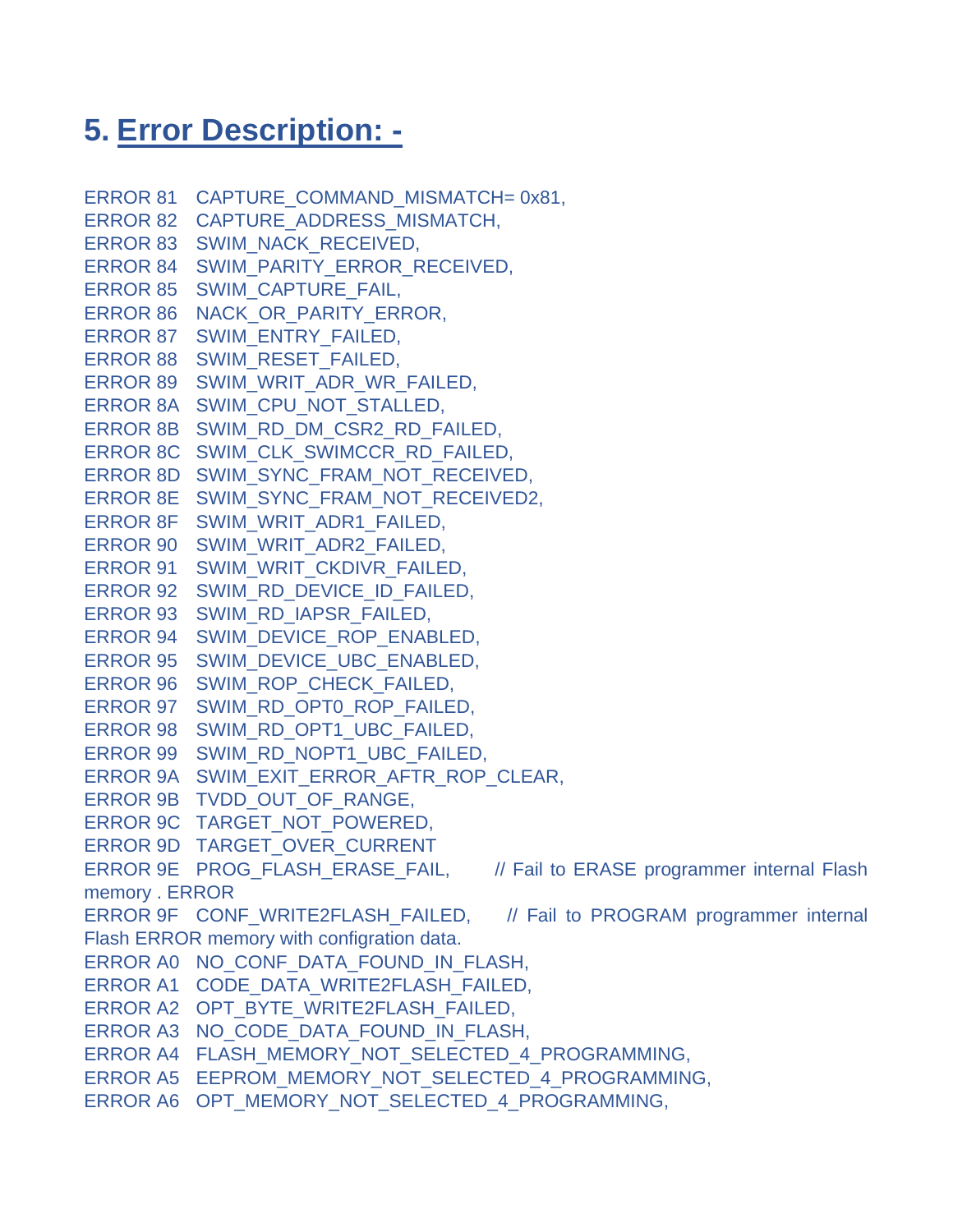# **5. Error Description: -**

```
ERROR 81 CAPTURE_COMMAND_MISMATCH= 0x81,
ERROR 82 CAPTURE_ADDRESS_MISMATCH,
ERROR 83 SWIM_NACK_RECEIVED,
ERROR 84 SWIM_PARITY_ERROR_RECEIVED,
ERROR 85 SWIM_CAPTURE_FAIL,
ERROR 86 NACK OR PARITY ERROR,
ERROR 87 SWIM_ENTRY_FAILED,
ERROR 88 SWIM_RESET_FAILED, 
ERROR 89 SWIM_WRIT_ADR_WR_FAILED,
ERROR 8A SWIM CPU NOT STALLED,
ERROR 8B SWIM_RD_DM_CSR2_RD_FAILED,
ERROR 8C SWIM_CLK_SWIMCCR_RD_FAILED,
ERROR 8D SWIM_SYNC_FRAM_NOT_RECEIVED,
ERROR 8E SWIM_SYNC_FRAM_NOT_RECEIVED2,
ERROR 8F SWIM_WRIT_ADR1_FAILED,
ERROR 90 SWIM_WRIT_ADR2_FAILED,
ERROR 91 SWIM_WRIT_CKDIVR_FAILED,
ERROR 92 SWIM_RD_DEVICE_ID_FAILED,
ERROR 93 SWIM_RD_IAPSR_FAILED,
ERROR 94 SWIM_DEVICE_ROP_ENABLED,
ERROR 95 SWIM_DEVICE_UBC_ENABLED,
ERROR 96 SWIM_ROP_CHECK_FAILED,
ERROR 97 SWIM_RD_OPT0_ROP_FAILED, 
ERROR 98 SWIM_RD_OPT1_UBC_FAILED, 
ERROR 99 SWIM_RD_NOPT1_UBC_FAILED,
ERROR 9A SWIM_EXIT_ERROR_AFTR_ROP_CLEAR,
ERROR 9B TVDD OUT OF RANGE,
ERROR 9C TARGET NOT POWERED,
ERROR 9D TARGET_OVER_CURRENT
ERROR 9E PROG_FLASH_ERASE_FAIL, // Fail to ERASE programmer internal Flash
memory . ERROR 
ERROR 9F CONF WRITE2FLASH_FAILED, // Fail to PROGRAM programmer internal
Flash ERROR memory with configration data.
ERROR A0 NO CONF DATA FOUND IN FLASH,
ERROR A1 CODE DATA WRITE2FLASH FAILED,
ERROR A2 OPT_BYTE_WRITE2FLASH_FAILED,
ERROR A3 NO_CODE_DATA_FOUND_IN_FLASH,
ERROR A4 FLASH_MEMORY_NOT_SELECTED_4_PROGRAMMING,
ERROR A5 EEPROM_MEMORY_NOT_SELECTED_4_PROGRAMMING,
ERROR A6 OPT_MEMORY_NOT_SELECTED_4_PROGRAMMING,
```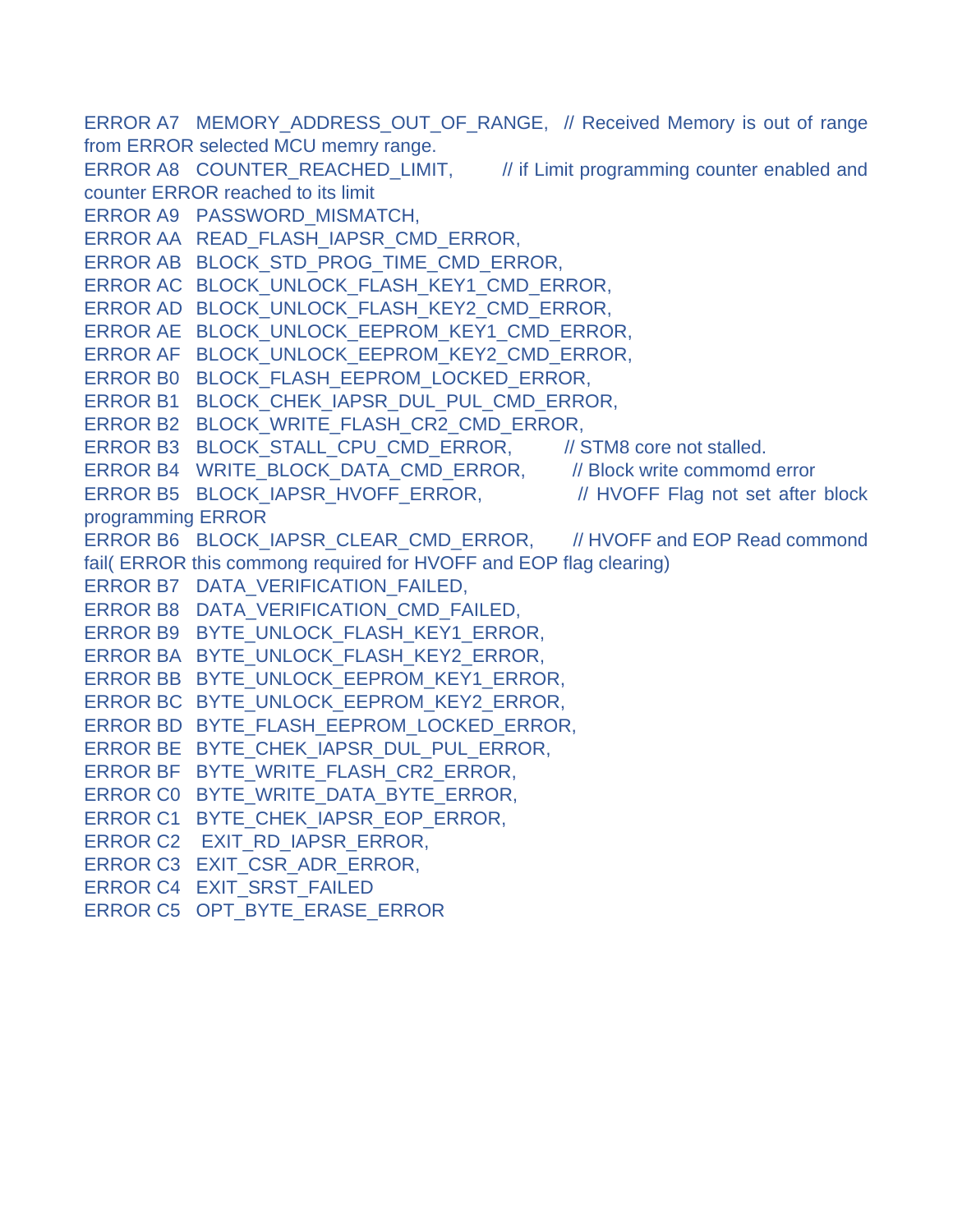ERROR A7 MEMORY ADDRESS OUT OF RANGE, // Received Memory is out of range from ERROR selected MCU memry range. ERROR A8 COUNTER\_REACHED\_LIMIT, // if Limit programming counter enabled and counter ERROR reached to its limit ERROR A9 PASSWORD\_MISMATCH, ERROR AA READ\_FLASH\_IAPSR\_CMD\_ERROR, ERROR AB BLOCK\_STD\_PROG\_TIME\_CMD\_ERROR, ERROR AC BLOCK\_UNLOCK\_FLASH\_KEY1\_CMD\_ERROR, ERROR AD BLOCK\_UNLOCK\_FLASH\_KEY2\_CMD\_ERROR, ERROR AE BLOCK\_UNLOCK\_EEPROM\_KEY1\_CMD\_ERROR, ERROR AF BLOCK\_UNLOCK\_EEPROM\_KEY2\_CMD\_ERROR, ERROR B0 BLOCK\_FLASH\_EEPROM\_LOCKED\_ERROR, ERROR B1 BLOCK\_CHEK\_IAPSR\_DUL\_PUL\_CMD\_ERROR, ERROR B2 BLOCK\_WRITE\_FLASH\_CR2\_CMD\_ERROR, ERROR B3 BLOCK STALL CPU CMD ERROR, // STM8 core not stalled. ERROR B4 WRITE\_BLOCK\_DATA\_CMD\_ERROR, // Block write commomd error ERROR B5 BLOCK IAPSR\_HVOFF\_ERROR, // HVOFF\_Flag not set after block programming ERROR ERROR B6 BLOCK IAPSR CLEAR CMD ERROR, // HVOFF and EOP Read commond fail( ERROR this commong required for HVOFF and EOP flag clearing) ERROR B7 DATA\_VERIFICATION\_FAILED, ERROR B8 DATA\_VERIFICATION\_CMD\_FAILED, ERROR B9 BYTE\_UNLOCK\_FLASH\_KEY1\_ERROR, ERROR BA BYTE\_UNLOCK\_FLASH\_KEY2\_ERROR, ERROR BB BYTE\_UNLOCK\_EEPROM\_KEY1\_ERROR, ERROR BC BYTE\_UNLOCK\_EEPROM\_KEY2\_ERROR, ERROR BD BYTE\_FLASH\_EEPROM\_LOCKED\_ERROR, ERROR BE\_BYTE\_CHEK\_IAPSR\_DUL\_PUL\_ERROR, ERROR BF\_BYTE\_WRITE\_FLASH\_CR2\_ERROR, ERROR C0 BYTE\_WRITE\_DATA\_BYTE\_ERROR, ERROR C1 BYTE CHEK IAPSR EOP ERROR, ERROR C2 EXIT\_RD\_IAPSR\_ERROR, ERROR C3 EXIT\_CSR\_ADR\_ERROR, ERROR C4 EXIT\_SRST\_FAILED ERROR C5 OPT BYTE ERASE ERROR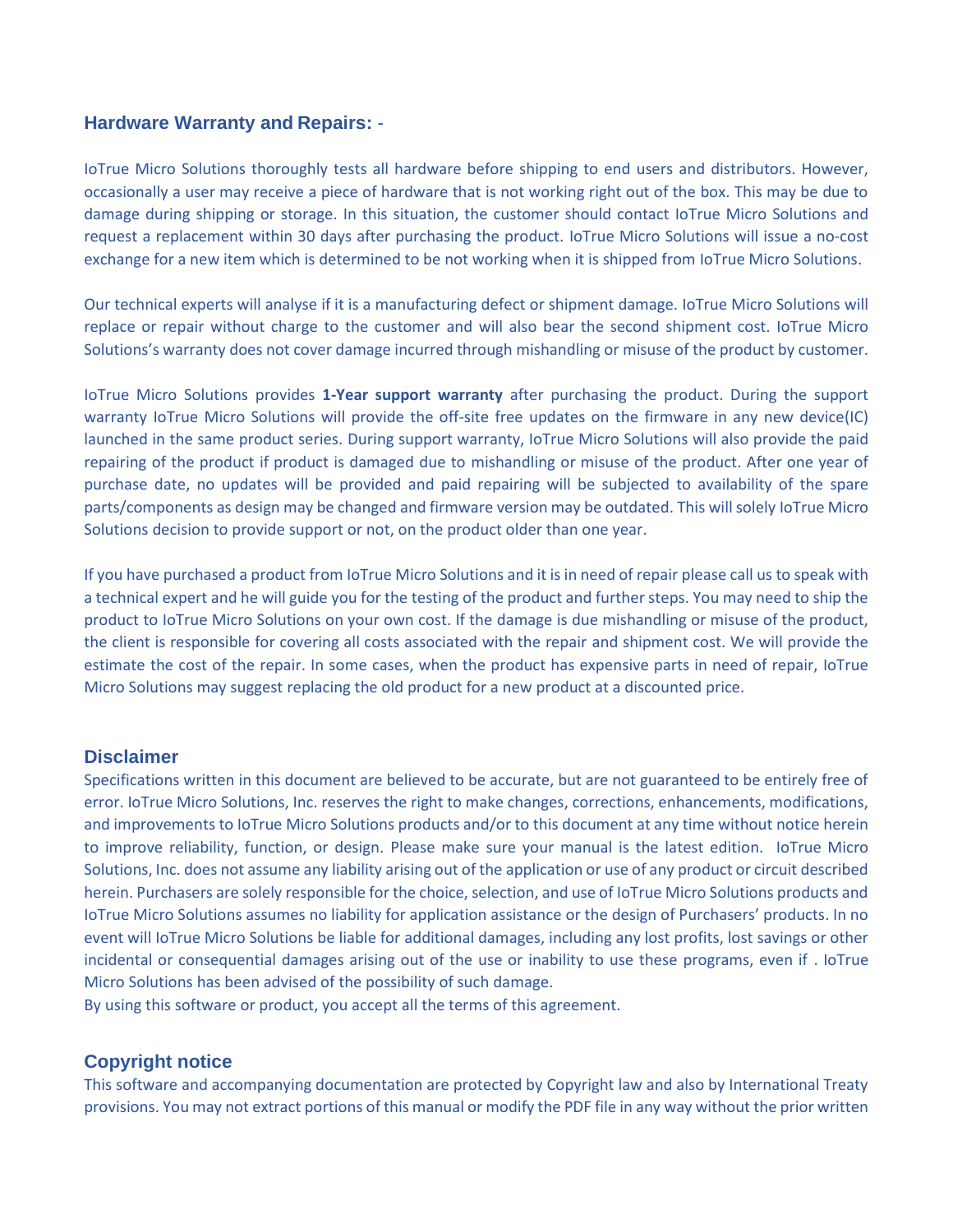#### **Hardware Warranty and Repairs:** -

IoTrue Micro Solutions thoroughly tests all hardware before shipping to end users and distributors. However, occasionally a user may receive a piece of hardware that is not working right out of the box. This may be due to damage during shipping or storage. In this situation, the customer should contact IoTrue Micro Solutions and request a replacement within 30 days after purchasing the product. IoTrue Micro Solutions will issue a no-cost exchange for a new item which is determined to be not working when it is shipped from IoTrue Micro Solutions.

Our technical experts will analyse if it is a manufacturing defect or shipment damage. IoTrue Micro Solutions will replace or repair without charge to the customer and will also bear the second shipment cost. IoTrue Micro Solutions's warranty does not cover damage incurred through mishandling or misuse of the product by customer.

IoTrue Micro Solutions provides **1-Year support warranty** after purchasing the product. During the support warranty IoTrue Micro Solutions will provide the off-site free updates on the firmware in any new device(IC) launched in the same product series. During support warranty, IoTrue Micro Solutions will also provide the paid repairing of the product if product is damaged due to mishandling or misuse of the product. After one year of purchase date, no updates will be provided and paid repairing will be subjected to availability of the spare parts/components as design may be changed and firmware version may be outdated. This will solely IoTrue Micro Solutions decision to provide support or not, on the product older than one year.

If you have purchased a product from IoTrue Micro Solutions and it is in need of repair please call us to speak with a technical expert and he will guide you for the testing of the product and further steps. You may need to ship the product to IoTrue Micro Solutions on your own cost. If the damage is due mishandling or misuse of the product, the client is responsible for covering all costs associated with the repair and shipment cost. We will provide the estimate the cost of the repair. In some cases, when the product has expensive parts in need of repair, IoTrue Micro Solutions may suggest replacing the old product for a new product at a discounted price.

#### **Disclaimer**

Specifications written in this document are believed to be accurate, but are not guaranteed to be entirely free of error. IoTrue Micro Solutions, Inc. reserves the right to make changes, corrections, enhancements, modifications, and improvements to IoTrue Micro Solutions products and/or to this document at any time without notice herein to improve reliability, function, or design. Please make sure your manual is the latest edition. IoTrue Micro Solutions, Inc. does not assume any liability arising out of the application or use of any product or circuit described herein. Purchasers are solely responsible for the choice, selection, and use of IoTrue Micro Solutions products and IoTrue Micro Solutions assumes no liability for application assistance or the design of Purchasers' products. In no event will IoTrue Micro Solutions be liable for additional damages, including any lost profits, lost savings or other incidental or consequential damages arising out of the use or inability to use these programs, even if . IoTrue Micro Solutions has been advised of the possibility of such damage.

By using this software or product, you accept all the terms of this agreement.

#### **Copyright notice**

This software and accompanying documentation are protected by Copyright law and also by International Treaty provisions. You may not extract portions of this manual or modify the PDF file in any way without the prior written